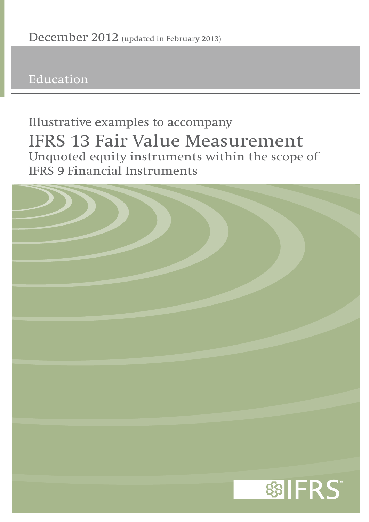**Education**

# **Unquoted equity instruments within the scope of IFRS 9 Financial Instruments Illustrative examples to accompany IFRS 13 Fair Value Measurement**

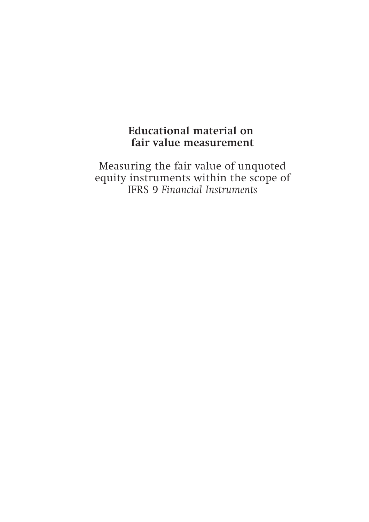# **Educational material on fair value measurement**

Measuring the fair value of unquoted equity instruments within the scope of IFRS 9 *Financial Instruments*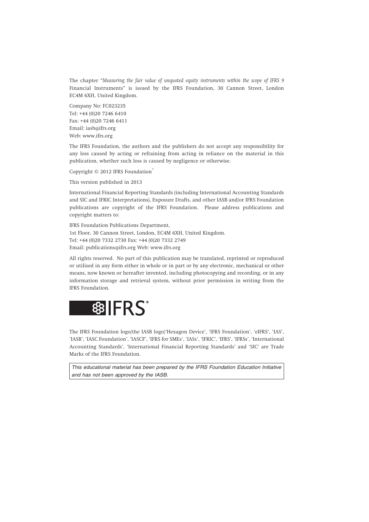The chapter "*Measuring the fair value of unquoted equity instruments within the scope of IFRS 9* Financial Instruments" is issued by the IFRS Foundation, 30 Cannon Street, London EC4M 6XH, United Kingdom.

Company No: FC023235 Tel: +44 (0)20 7246 6410 Fax: +44 (0)20 7246 6411 Email: iasb@ifrs.org Web: www.ifrs.org

The IFRS Foundation, the authors and the publishers do not accept any responsibility for any loss caused by acting or refraining from acting in reliance on the material in this publication, whether such loss is caused by negligence or otherwise.

Copyright © 2012 IFRS Foundation®

This version published in 2013

International Financial Reporting Standards (including International Accounting Standards and SIC and IFRIC Interpretations), Exposure Drafts, and other IASB and/or IFRS Foundation publications are copyright of the IFRS Foundation. Please address publications and copyright matters to:

IFRS Foundation Publications Department, 1st Floor, 30 Cannon Street, London, EC4M 6XH, United Kingdom. Tel: +44 (0)20 7332 2730 Fax: +44 (0)20 7332 2749 Email: publications@ifrs.org Web: www.ifrs.org

All rights reserved. No part of this publication may be translated, reprinted or reproduced or utilised in any form either in whole or in part or by any electronic, mechanical or other means, now known or hereafter invented, including photocopying and recording, or in any information storage and retrieval system, without prior permission in writing from the IFRS Foundation.



The IFRS Foundation logo/the IASB logo/'Hexagon Device', 'IFRS Foundation', 'eIFRS', 'IAS', 'IASB', 'IASC Foundation', 'IASCF', 'IFRS for SMEs', 'IASs', 'IFRIC', 'IFRS', 'IFRSs', 'International Accounting Standards', 'International Financial Reporting Standards' and 'SIC' are Trade Marks of the IFRS Foundation.

*This educational material has been prepared by the IFRS Foundation Education Initiative and has not been approved by the IASB.*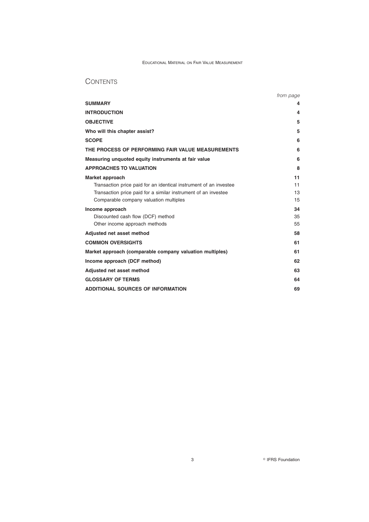# **CONTENTS**

|                                                                   | from page |
|-------------------------------------------------------------------|-----------|
| <b>SUMMARY</b>                                                    | 4         |
| <b>INTRODUCTION</b>                                               | 4         |
| <b>OBJECTIVE</b>                                                  | 5         |
| Who will this chapter assist?                                     | 5         |
| <b>SCOPE</b>                                                      | 6         |
| THE PROCESS OF PERFORMING FAIR VALUE MEASUREMENTS                 | 6         |
| Measuring unquoted equity instruments at fair value               | 6         |
| <b>APPROACHES TO VALUATION</b>                                    | 8         |
| Market approach                                                   | 11        |
| Transaction price paid for an identical instrument of an investee | 11        |
| Transaction price paid for a similar instrument of an investee    | 13        |
| Comparable company valuation multiples                            | 15        |
| Income approach                                                   | 34        |
| Discounted cash flow (DCF) method                                 | 35        |
| Other income approach methods                                     | 55        |
| Adjusted net asset method                                         | 58        |
| <b>COMMON OVERSIGHTS</b>                                          | 61        |
| Market approach (comparable company valuation multiples)          | 61        |
| Income approach (DCF method)                                      | 62        |
| Adjusted net asset method                                         | 63        |
| <b>GLOSSARY OF TERMS</b>                                          | 64        |
| <b>ADDITIONAL SOURCES OF INFORMATION</b>                          | 69        |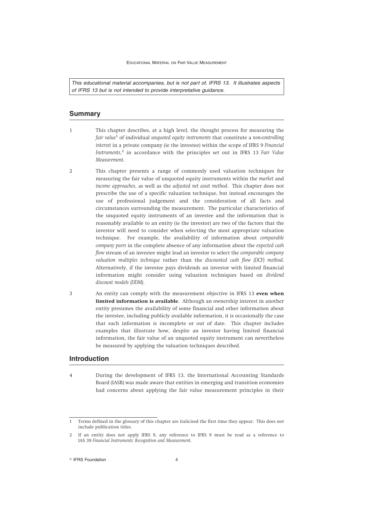*This educational material accompanies, but is not part of, IFRS 13. It illustrates aspects of IFRS 13 but is not intended to provide interpretative guidance.*

# **Summary**

- 1 This chapter describes, at a high level, the thought process for measuring the *fair value*<sup>1</sup> of individual *unquoted equity instruments* that constitute a *non-controlling interest* in a private company (ie the investee) within the scope of IFRS 9 *Financial Instruments*, <sup>2</sup> in accordance with the principles set out in IFRS 13 *Fair Value Measurement*.
- 2 This chapter presents a range of commonly used valuation techniques for measuring the fair value of unquoted equity instruments within the *market* and *income approaches*, as well as the *adjusted net asset method*. This chapter does not prescribe the use of a specific valuation technique, but instead encourages the use of professional judgement and the consideration of all facts and circumstances surrounding the measurement. The particular characteristics of the unquoted equity instruments of an investee and the information that is reasonably available to an entity (ie the investor) are two of the factors that the investor will need to consider when selecting the most appropriate valuation technique. For example, the availability of information about *comparable company peers* in the complete absence of any information about the *expected cash flow* stream of an investee might lead an investor to select the *comparable company valuation multiples technique* rather than the *discounted cash flow (DCF) method*. Alternatively, if the investee pays dividends an investor with limited financial information might consider using valuation techniques based on *dividend discount models (DDM)*.
- 3 An entity can comply with the measurement objective in IFRS 13 **even when limited information is available**. Although an ownership interest in another entity presumes the availability of some financial and other information about the investee, including publicly available information, it is occasionally the case that such information is incomplete or out of date. This chapter includes examples that illustrate how, despite an investor having limited financial information, the fair value of an unquoted equity instrument can nevertheless be measured by applying the valuation techniques described.

# **Introduction**

4 During the development of IFRS 13, the International Accounting Standards Board (IASB) was made aware that entities in emerging and transition economies had concerns about applying the fair value measurement principles in their

 $\degree$  IFRS Foundation  $4$ 

<sup>1</sup> Terms defined in the glossary of this chapter are italicised the first time they appear. This does not include publication titles.

<sup>2</sup> If an entity does not apply IFRS 9, any reference to IFRS 9 must be read as a reference to IAS 39 *Financial Instruments: Recognition and Measurement*.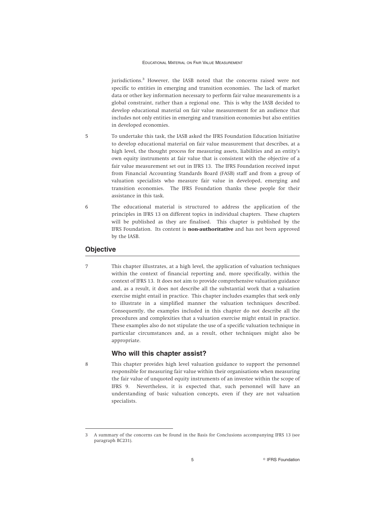jurisdictions.<sup>3</sup> However, the IASB noted that the concerns raised were not specific to entities in emerging and transition economies. The lack of market data or other key information necessary to perform fair value measurements is a global constraint, rather than a regional one. This is why the IASB decided to develop educational material on fair value measurement for an audience that includes not only entities in emerging and transition economies but also entities in developed economies.

- 5 To undertake this task, the IASB asked the IFRS Foundation Education Initiative to develop educational material on fair value measurement that describes, at a high level, the thought process for measuring assets, liabilities and an entity's own equity instruments at fair value that is consistent with the objective of a fair value measurement set out in IFRS 13. The IFRS Foundation received input from Financial Accounting Standards Board (FASB) staff and from a group of valuation specialists who measure fair value in developed, emerging and transition economies. The IFRS Foundation thanks these people for their assistance in this task.
- 6 The educational material is structured to address the application of the principles in IFRS 13 on different topics in individual chapters. These chapters will be published as they are finalised. This chapter is published by the IFRS Foundation. Its content is **non-authoritative** and has not been approved by the IASB.

# **Objective**

7 This chapter illustrates, at a high level, the application of valuation techniques within the context of financial reporting and, more specifically, within the context of IFRS 13. It does not aim to provide comprehensive valuation guidance and, as a result, it does not describe all the substantial work that a valuation exercise might entail in practice. This chapter includes examples that seek only to illustrate in a simplified manner the valuation techniques described. Consequently, the examples included in this chapter do not describe all the procedures and complexities that a valuation exercise might entail in practice. These examples also do not stipulate the use of a specific valuation technique in particular circumstances and, as a result, other techniques might also be appropriate.

# **Who will this chapter assist?**

8 This chapter provides high level valuation guidance to support the personnel responsible for measuring fair value within their organisations when measuring the fair value of unquoted equity instruments of an investee within the scope of IFRS 9. Nevertheless, it is expected that, such personnel will have an understanding of basic valuation concepts, even if they are not valuation specialists.

<sup>3</sup> A summary of the concerns can be found in the Basis for Conclusions accompanying IFRS 13 (see paragraph BC231).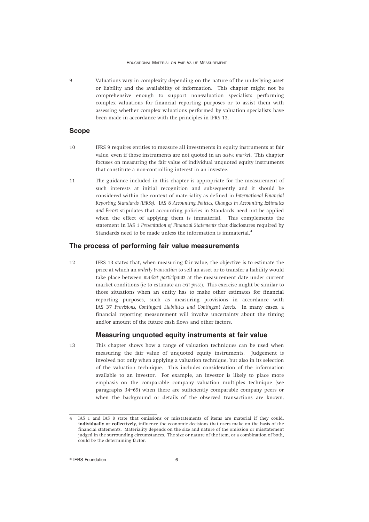9 Valuations vary in complexity depending on the nature of the underlying asset or liability and the availability of information. This chapter might not be comprehensive enough to support non-valuation specialists performing complex valuations for financial reporting purposes or to assist them with assessing whether complex valuations performed by valuation specialists have been made in accordance with the principles in IFRS 13.

### **Scope**

- 10 IFRS 9 requires entities to measure all investments in equity instruments at fair value, even if those instruments are not quoted in an *active market*. This chapter focuses on measuring the fair value of individual unquoted equity instruments that constitute a non-controlling interest in an investee.
- 11 The guidance included in this chapter is appropriate for the measurement of such interests at initial recognition and subsequently and it should be considered within the context of materiality as defined in *International Financial Reporting Standards (IFRSs)*. IAS 8 *Accounting Policies, Changes in Accounting Estimates and Errors* stipulates that accounting policies in Standards need not be applied when the effect of applying them is immaterial. This complements the statement in IAS 1 *Presentation of Financial Statements* that disclosures required by Standards need to be made unless the information is immaterial.<sup>4</sup>

# **The process of performing fair value measurements**

12 IFRS 13 states that, when measuring fair value, the objective is to estimate the price at which an *orderly transaction* to sell an asset or to transfer a liability would take place between *market participants* at the measurement date under current market conditions (ie to estimate an *exit price*). This exercise might be similar to those situations when an entity has to make other estimates for financial reporting purposes, such as measuring provisions in accordance with IAS 37 *Provisions, Contingent Liabilities and Contingent Assets*. In many cases, a financial reporting measurement will involve uncertainty about the timing and/or amount of the future cash flows and other factors.

# **Measuring unquoted equity instruments at fair value**

13 This chapter shows how a range of valuation techniques can be used when measuring the fair value of unquoted equity instruments. Judgement is involved not only when applying a valuation technique, but also in its selection of the valuation technique. This includes consideration of the information available to an investor. For example, an investor is likely to place more emphasis on the comparable company valuation multiples technique (see paragraphs 34–69) when there are sufficiently comparable company peers or when the background or details of the observed transactions are known.

<sup>4</sup> IAS 1 and IAS 8 state that omissions or misstatements of items are material if they could, **individually or collectively**, influence the economic decisions that users make on the basis of the financial statements. Materiality depends on the size and nature of the omission or misstatement judged in the surrounding circumstances. The size or nature of the item, or a combination of both, could be the determining factor.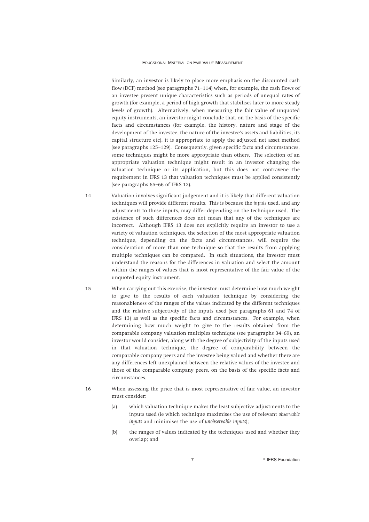Similarly, an investor is likely to place more emphasis on the discounted cash flow (DCF) method (see paragraphs 71–114) when, for example, the cash flows of an investee present unique characteristics such as periods of unequal rates of growth (for example, a period of high growth that stabilises later to more steady levels of growth). Alternatively, when measuring the fair value of unquoted equity instruments, an investor might conclude that, on the basis of the specific facts and circumstances (for example, the history, nature and stage of the development of the investee, the nature of the investee's assets and liabilities, its capital structure etc), it is appropriate to apply the adjusted net asset method (see paragraphs 125–129). Consequently, given specific facts and circumstances, some techniques might be more appropriate than others. The selection of an appropriate valuation technique might result in an investor changing the valuation technique or its application, but this does not contravene the requirement in IFRS 13 that valuation techniques must be applied consistently (see paragraphs 65–66 of IFRS 13).

- 14 Valuation involves significant judgement and it is likely that different valuation techniques will provide different results. This is because the *inputs* used, and any adjustments to those inputs, may differ depending on the technique used. The existence of such differences does not mean that any of the techniques are incorrect. Although IFRS 13 does not explicitly require an investor to use a variety of valuation techniques, the selection of the most appropriate valuation technique, depending on the facts and circumstances, will require the consideration of more than one technique so that the results from applying multiple techniques can be compared. In such situations, the investor must understand the reasons for the differences in valuation and select the amount within the ranges of values that is most representative of the fair value of the unquoted equity instrument.
- 15 When carrying out this exercise, the investor must determine how much weight to give to the results of each valuation technique by considering the reasonableness of the ranges of the values indicated by the different techniques and the relative subjectivity of the inputs used (see paragraphs 61 and 74 of IFRS 13) as well as the specific facts and circumstances. For example, when determining how much weight to give to the results obtained from the comparable company valuation multiples technique (see paragraphs 34–69), an investor would consider, along with the degree of subjectivity of the inputs used in that valuation technique, the degree of comparability between the comparable company peers and the investee being valued and whether there are any differences left unexplained between the relative values of the investee and those of the comparable company peers, on the basis of the specific facts and circumstances.
- 16 When assessing the price that is most representative of fair value, an investor must consider:
	- (a) which valuation technique makes the least subjective adjustments to the inputs used (ie which technique maximises the use of relevant *observable inputs* and minimises the use of *unobservable inputs*);
	- (b) the ranges of values indicated by the techniques used and whether they overlap; and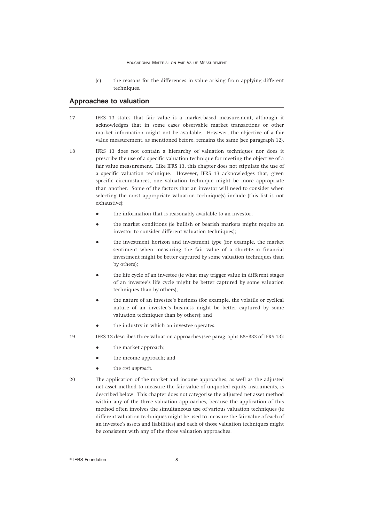(c) the reasons for the differences in value arising from applying different techniques.

# **Approaches to valuation**

- 17 IFRS 13 states that fair value is a market-based measurement, although it acknowledges that in some cases observable market transactions or other market information might not be available. However, the objective of a fair value measurement, as mentioned before, remains the same (see paragraph 12).
- 18 IFRS 13 does not contain a hierarchy of valuation techniques nor does it prescribe the use of a specific valuation technique for meeting the objective of a fair value measurement. Like IFRS 13, this chapter does not stipulate the use of a specific valuation technique. However, IFRS 13 acknowledges that, given specific circumstances, one valuation technique might be more appropriate than another. Some of the factors that an investor will need to consider when selecting the most appropriate valuation technique(s) include (this list is not exhaustive):
	- the information that is reasonably available to an investor;
	- the market conditions (ie bullish or bearish markets might require an investor to consider different valuation techniques);
	- the investment horizon and investment type (for example, the market sentiment when measuring the fair value of a short-term financial investment might be better captured by some valuation techniques than by others);
	- the life cycle of an investee (ie what may trigger value in different stages of an investee's life cycle might be better captured by some valuation techniques than by others);
	- the nature of an investee's business (for example, the volatile or cyclical nature of an investee's business might be better captured by some valuation techniques than by others); and
	- the industry in which an investee operates.
- 19 IFRS 13 describes three valuation approaches (see paragraphs B5–B33 of IFRS 13):
	- the market approach;
	- the income approach; and
	- the *cost approach*.
- 20 The application of the market and income approaches, as well as the adjusted net asset method to measure the fair value of unquoted equity instruments, is described below. This chapter does not categorise the adjusted net asset method within any of the three valuation approaches, because the application of this method often involves the simultaneous use of various valuation techniques (ie different valuation techniques might be used to measure the fair value of each of an investee's assets and liabilities) and each of those valuation techniques might be consistent with any of the three valuation approaches.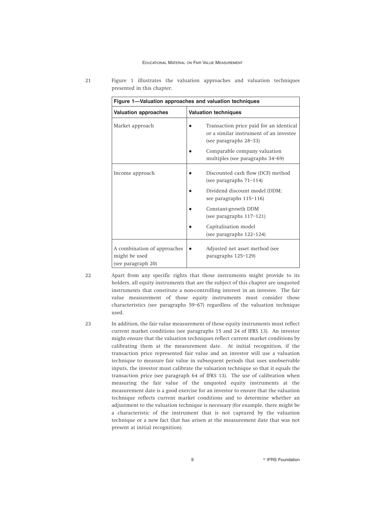|                                                                    | Figure 1-Valuation approaches and valuation techniques                                                      |
|--------------------------------------------------------------------|-------------------------------------------------------------------------------------------------------------|
| <b>Valuation approaches</b>                                        | <b>Valuation techniques</b>                                                                                 |
| Market approach                                                    | Transaction price paid for an identical<br>or a similar instrument of an investee<br>(see paragraphs 28-33) |
|                                                                    | Comparable company valuation<br>multiples (see paragraphs 34–69)                                            |
| Income approach                                                    | Discounted cash flow (DCF) method<br>(see paragraphs $71-114$ )                                             |
|                                                                    | Dividend discount model (DDM;<br>see paragraphs 115-116)                                                    |
|                                                                    | Constant-growth DDM<br>(see paragraphs 117-121)                                                             |
|                                                                    | Capitalisation model<br>(see paragraphs $122-124$ )                                                         |
| A combination of approaches<br>might be used<br>(see paragraph 20) | Adjusted net asset method (see<br>paragraphs 125-129)                                                       |

21 Figure 1 illustrates the valuation approaches and valuation techniques presented in this chapter.

22 Apart from any specific rights that those instruments might provide to its holders, all equity instruments that are the subject of this chapter are unquoted instruments that constitute a non-controlling interest in an investee. The fair value measurement of those equity instruments must consider those characteristics (see paragraphs 59–67) regardless of the valuation technique used.

23 In addition, the fair value measurement of those equity instruments must reflect current market conditions (see paragraphs 15 and 24 of IFRS 13). An investor might ensure that the valuation techniques reflect current market conditions by calibrating them at the measurement date. At initial recognition, if the transaction price represented fair value and an investor will use a valuation technique to measure fair value in subsequent periods that uses unobservable inputs, the investor must calibrate the valuation technique so that it equals the transaction price (see paragraph 64 of IFRS 13). The use of calibration when measuring the fair value of the unquoted equity instruments at the measurement date is a good exercise for an investor to ensure that the valuation technique reflects current market conditions and to determine whether an adjustment to the valuation technique is necessary (for example, there might be a characteristic of the instrument that is not captured by the valuation technique or a new fact that has arisen at the measurement date that was not present at initial recognition).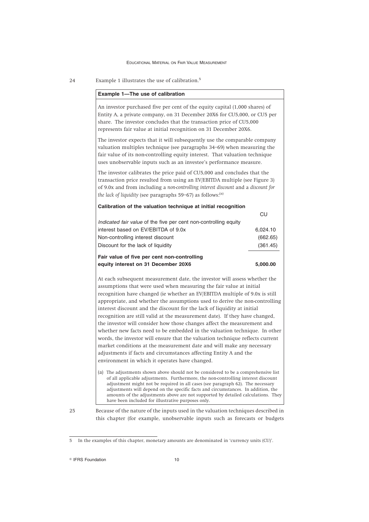24 Example 1 illustrates the use of calibration.<sup>5</sup>

| Example 1-The use of calibration                                                                                                                                                                                                                                                                                                                                                                                                                                                                                                                                                                                                                                                                                                                                                                                                                                                                                   |          |
|--------------------------------------------------------------------------------------------------------------------------------------------------------------------------------------------------------------------------------------------------------------------------------------------------------------------------------------------------------------------------------------------------------------------------------------------------------------------------------------------------------------------------------------------------------------------------------------------------------------------------------------------------------------------------------------------------------------------------------------------------------------------------------------------------------------------------------------------------------------------------------------------------------------------|----------|
| An investor purchased five per cent of the equity capital (1,000 shares) of<br>Entity A, a private company, on 31 December 20X6 for CU5,000, or CU5 per<br>share. The investor concludes that the transaction price of CU5,000<br>represents fair value at initial recognition on 31 December 20X6.                                                                                                                                                                                                                                                                                                                                                                                                                                                                                                                                                                                                                |          |
| The investor expects that it will subsequently use the comparable company<br>valuation multiples technique (see paragraphs 34-69) when measuring the<br>fair value of its non-controlling equity interest. That valuation technique<br>uses unobservable inputs such as an investee's performance measure.                                                                                                                                                                                                                                                                                                                                                                                                                                                                                                                                                                                                         |          |
| The investor calibrates the price paid of CU5,000 and concludes that the<br>transaction price resulted from using an EV/EBITDA multiple (see Figure 3)<br>of 9.0x and from including a non-controlling interest discount and a discount for<br>the lack of liquidity (see paragraphs 59-67) as follows: <sup>(a)</sup>                                                                                                                                                                                                                                                                                                                                                                                                                                                                                                                                                                                             |          |
| Calibration of the valuation technique at initial recognition                                                                                                                                                                                                                                                                                                                                                                                                                                                                                                                                                                                                                                                                                                                                                                                                                                                      |          |
|                                                                                                                                                                                                                                                                                                                                                                                                                                                                                                                                                                                                                                                                                                                                                                                                                                                                                                                    | CU       |
| Indicated fair value of the five per cent non-controlling equity                                                                                                                                                                                                                                                                                                                                                                                                                                                                                                                                                                                                                                                                                                                                                                                                                                                   |          |
| interest based on EV/EBITDA of 9.0x                                                                                                                                                                                                                                                                                                                                                                                                                                                                                                                                                                                                                                                                                                                                                                                                                                                                                | 6,024.10 |
| Non-controlling interest discount                                                                                                                                                                                                                                                                                                                                                                                                                                                                                                                                                                                                                                                                                                                                                                                                                                                                                  | (662.65) |
| Discount for the lack of liquidity                                                                                                                                                                                                                                                                                                                                                                                                                                                                                                                                                                                                                                                                                                                                                                                                                                                                                 | (361.45) |
| Fair value of five per cent non-controlling                                                                                                                                                                                                                                                                                                                                                                                                                                                                                                                                                                                                                                                                                                                                                                                                                                                                        |          |
| equity interest on 31 December 20X6                                                                                                                                                                                                                                                                                                                                                                                                                                                                                                                                                                                                                                                                                                                                                                                                                                                                                | 5,000.00 |
| At each subsequent measurement date, the investor will assess whether the<br>assumptions that were used when measuring the fair value at initial<br>recognition have changed (ie whether an EV/EBITDA multiple of 9.0x is still<br>appropriate, and whether the assumptions used to derive the non-controlling<br>interest discount and the discount for the lack of liquidity at initial<br>recognition are still valid at the measurement date). If they have changed,<br>the investor will consider how those changes affect the measurement and<br>whether new facts need to be embedded in the valuation technique. In other<br>words, the investor will ensure that the valuation technique reflects current<br>market conditions at the measurement date and will make any necessary<br>adjustments if facts and circumstances affecting Entity A and the<br>environment in which it operates have changed. |          |
| (a) The adjustments shown above should not be considered to be a comprehensive list<br>of all applicable adjustments. Furthermore, the non-controlling interest discount<br>adjustment might not be required in all cases (see paragraph 62). The necessary<br>adjustments will depend on the specific facts and circumstances. In addition, the<br>amounts of the adjustments above are not supported by detailed calculations. They                                                                                                                                                                                                                                                                                                                                                                                                                                                                              |          |

<sup>25</sup> Because of the nature of the inputs used in the valuation techniques described in this chapter (for example, unobservable inputs such as forecasts or budgets

<sup>5</sup> In the examples of this chapter, monetary amounts are denominated in 'currency units (CU)'.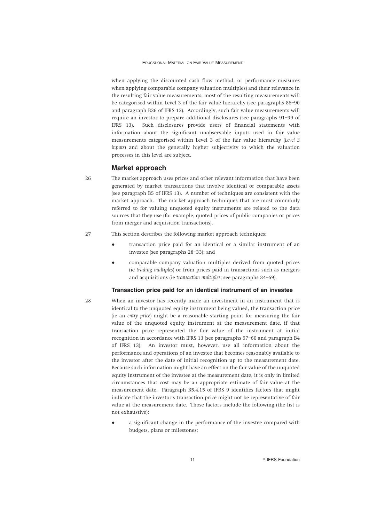when applying the discounted cash flow method, or performance measures when applying comparable company valuation multiples) and their relevance in the resulting fair value measurements, most of the resulting measurements will be categorised within Level 3 of the fair value hierarchy (see paragraphs 86–90 and paragraph B36 of IFRS 13). Accordingly, such fair value measurements will require an investor to prepare additional disclosures (see paragraphs 91–99 of IFRS 13). Such disclosures provide users of financial statements with information about the significant unobservable inputs used in fair value measurements categorised within Level 3 of the fair value hierarchy (*Level 3 inputs*) and about the generally higher subjectivity to which the valuation processes in this level are subject.

# **Market approach**

26 The market approach uses prices and other relevant information that have been generated by market transactions that involve identical or comparable assets (see paragraph B5 of IFRS 13). A number of techniques are consistent with the market approach. The market approach techniques that are most commonly referred to for valuing unquoted equity instruments are related to the data sources that they use (for example, quoted prices of public companies or prices from merger and acquisition transactions).

# 27 This section describes the following market approach techniques:

- transaction price paid for an identical or a similar instrument of an investee (see paragraphs 28–33); and
- comparable company valuation multiples derived from quoted prices (ie *trading multiples*) or from prices paid in transactions such as mergers and acquisitions (ie *transaction multiples*; see paragraphs 34–69).

# **Transaction price paid for an identical instrument of an investee**

- 28 When an investor has recently made an investment in an instrument that is identical to the unquoted equity instrument being valued, the transaction price (ie an *entry price*) might be a reasonable starting point for measuring the fair value of the unquoted equity instrument at the measurement date, if that transaction price represented the fair value of the instrument at initial recognition in accordance with IFRS 13 (see paragraphs 57–60 and paragraph B4 of IFRS 13). An investor must, however, use all information about the performance and operations of an investee that becomes reasonably available to the investor after the date of initial recognition up to the measurement date. Because such information might have an effect on the fair value of the unquoted equity instrument of the investee at the measurement date, it is only in limited circumstances that cost may be an appropriate estimate of fair value at the measurement date. Paragraph B5.4.15 of IFRS 9 identifies factors that might indicate that the investor's transaction price might not be representative of fair value at the measurement date. Those factors include the following (the list is not exhaustive):
	- a significant change in the performance of the investee compared with budgets, plans or milestones;

11 **Constanting Construction Construction Construction**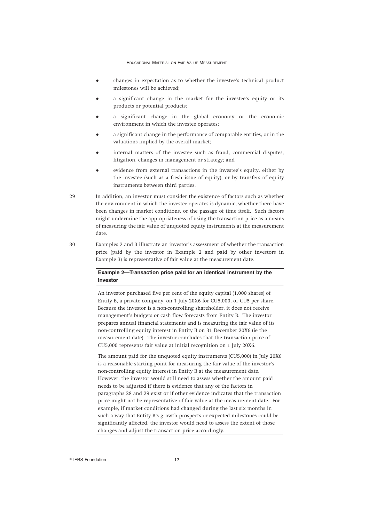- changes in expectation as to whether the investee's technical product milestones will be achieved;
- a significant change in the market for the investee's equity or its products or potential products;
- a significant change in the global economy or the economic environment in which the investee operates;
- a significant change in the performance of comparable entities, or in the valuations implied by the overall market;
- internal matters of the investee such as fraud, commercial disputes, litigation, changes in management or strategy; and
- evidence from external transactions in the investee's equity, either by the investee (such as a fresh issue of equity), or by transfers of equity instruments between third parties.
- 29 In addition, an investor must consider the existence of factors such as whether the environment in which the investee operates is dynamic, whether there have been changes in market conditions, or the passage of time itself. Such factors might undermine the appropriateness of using the transaction price as a means of measuring the fair value of unquoted equity instruments at the measurement date.
- 30 Examples 2 and 3 illustrate an investor's assessment of whether the transaction price (paid by the investor in Example 2 and paid by other investors in Example 3) is representative of fair value at the measurement date.

# **Example 2—Transaction price paid for an identical instrument by the investor**

An investor purchased five per cent of the equity capital (1,000 shares) of Entity B, a private company, on 1 July 20X6 for CU5,000, or CU5 per share. Because the investor is a non-controlling shareholder, it does not receive management's budgets or cash flow forecasts from Entity B. The investor prepares annual financial statements and is measuring the fair value of its non-controlling equity interest in Entity B on 31 December 20X6 (ie the measurement date). The investor concludes that the transaction price of CU5,000 represents fair value at initial recognition on 1 July 20X6.

The amount paid for the unquoted equity instruments (CU5,000) in July 20X6 is a reasonable starting point for measuring the fair value of the investor's non-controlling equity interest in Entity B at the measurement date. However, the investor would still need to assess whether the amount paid needs to be adjusted if there is evidence that any of the factors in paragraphs 28 and 29 exist or if other evidence indicates that the transaction price might not be representative of fair value at the measurement date. For example, if market conditions had changed during the last six months in such a way that Entity B's growth prospects or expected milestones could be significantly affected, the investor would need to assess the extent of those changes and adjust the transaction price accordingly.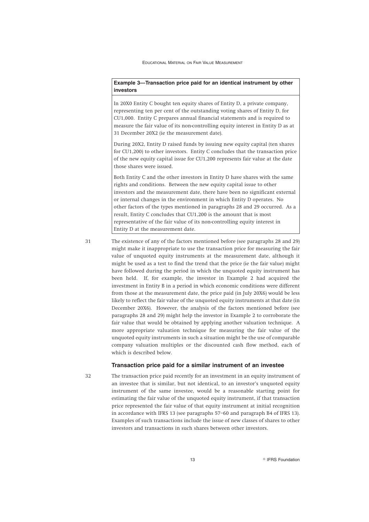# **Example 3—Transaction price paid for an identical instrument by other investors**

In 20X0 Entity C bought ten equity shares of Entity D, a private company, representing ten per cent of the outstanding voting shares of Entity D, for CU1,000. Entity C prepares annual financial statements and is required to measure the fair value of its non-controlling equity interest in Entity D as at 31 December 20X2 (ie the measurement date).

During 20X2, Entity D raised funds by issuing new equity capital (ten shares for CU1,200) to other investors. Entity C concludes that the transaction price of the new equity capital issue for CU1,200 represents fair value at the date those shares were issued.

Both Entity C and the other investors in Entity D have shares with the same rights and conditions. Between the new equity capital issue to other investors and the measurement date, there have been no significant external or internal changes in the environment in which Entity D operates. No other factors of the types mentioned in paragraphs 28 and 29 occurred. As a result, Entity C concludes that CU1,200 is the amount that is most representative of the fair value of its non-controlling equity interest in Entity D at the measurement date.

31 The existence of any of the factors mentioned before (see paragraphs 28 and 29) might make it inappropriate to use the transaction price for measuring the fair value of unquoted equity instruments at the measurement date, although it might be used as a test to find the trend that the price (ie the fair value) might have followed during the period in which the unquoted equity instrument has been held. If, for example, the investor in Example 2 had acquired the investment in Entity B in a period in which economic conditions were different from those at the measurement date, the price paid (in July 20X6) would be less likely to reflect the fair value of the unquoted equity instruments at that date (in December 20X6). However, the analysis of the factors mentioned before (see paragraphs 28 and 29) might help the investor in Example 2 to corroborate the fair value that would be obtained by applying another valuation technique. A more appropriate valuation technique for measuring the fair value of the unquoted equity instruments in such a situation might be the use of comparable company valuation multiples or the discounted cash flow method, each of which is described below.

### **Transaction price paid for a similar instrument of an investee**

32 The transaction price paid recently for an investment in an equity instrument of an investee that is similar, but not identical, to an investor's unquoted equity instrument of the same investee, would be a reasonable starting point for estimating the fair value of the unquoted equity instrument, if that transaction price represented the fair value of that equity instrument at initial recognition in accordance with IFRS 13 (see paragraphs 57–60 and paragraph B4 of IFRS 13). Examples of such transactions include the issue of new classes of shares to other investors and transactions in such shares between other investors.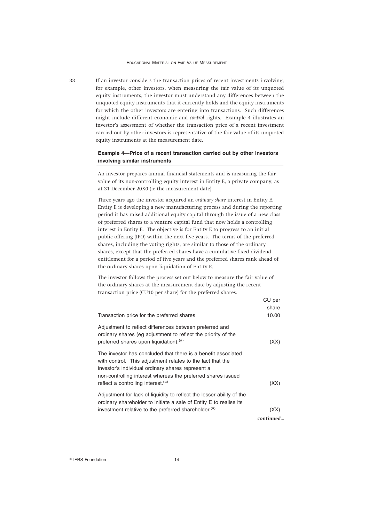33 If an investor considers the transaction prices of recent investments involving, for example, other investors, when measuring the fair value of its unquoted equity instruments, the investor must understand any differences between the unquoted equity instruments that it currently holds and the equity instruments for which the other investors are entering into transactions. Such differences might include different economic and *control* rights. Example 4 illustrates an investor's assessment of whether the transaction price of a recent investment carried out by other investors is representative of the fair value of its unquoted equity instruments at the measurement date.

# **Example 4—Price of a recent transaction carried out by other investors involving similar instruments**

An investor prepares annual financial statements and is measuring the fair value of its non-controlling equity interest in Entity E, a private company, as at 31 December 20X0 (ie the measurement date).

Three years ago the investor acquired an *ordinary share* interest in Entity E. Entity E is developing a new manufacturing process and during the reporting period it has raised additional equity capital through the issue of a new class of preferred shares to a venture capital fund that now holds a controlling interest in Entity E. The objective is for Entity E to progress to an initial public offering (IPO) within the next five years. The terms of the preferred shares, including the voting rights, are similar to those of the ordinary shares, except that the preferred shares have a cumulative fixed dividend entitlement for a period of five years and the preferred shares rank ahead of the ordinary shares upon liquidation of Entity E.

The investor follows the process set out below to measure the fair value of the ordinary shares at the measurement date by adjusting the recent transaction price (CU10 per share) for the preferred shares.

| Transaction price for the preferred shares                                                                                                                                                                                                                                                         | $CU$ per<br>share<br>10.00 |
|----------------------------------------------------------------------------------------------------------------------------------------------------------------------------------------------------------------------------------------------------------------------------------------------------|----------------------------|
| Adjustment to reflect differences between preferred and<br>ordinary shares (eq adjustment to reflect the priority of the<br>preferred shares upon liquidation). <sup>(a)</sup>                                                                                                                     | (XX)                       |
| The investor has concluded that there is a benefit associated<br>with control. This adjustment relates to the fact that the<br>investor's individual ordinary shares represent a<br>non-controlling interest whereas the preferred shares issued<br>reflect a controlling interest. <sup>(a)</sup> | (XX                        |
| Adjustment for lack of liquidity to reflect the lesser ability of the<br>ordinary shareholder to initiate a sale of Entity E to realise its<br>investment relative to the preferred shareholder. <sup>(a)</sup>                                                                                    |                            |

*continued...*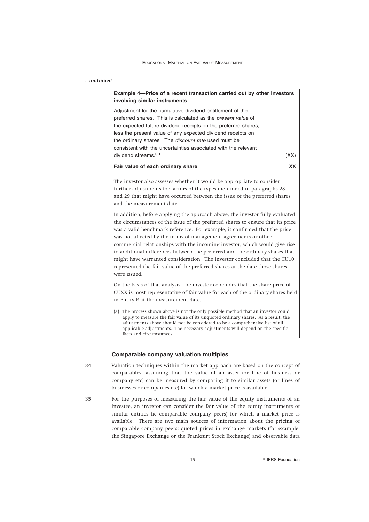# *...continued*

# **Example 4—Price of a recent transaction carried out by other investors involving similar instruments**

Adjustment for the cumulative dividend entitlement of the preferred shares. This is calculated as the *present value* of the expected future dividend receipts on the preferred shares, less the present value of any expected dividend receipts on the ordinary shares. The *discount rate* used must be consistent with the uncertainties associated with the relevant dividend streams.<sup>(a)</sup> (XX)

# **Fair value of each ordinary share XX**

The investor also assesses whether it would be appropriate to consider further adjustments for factors of the types mentioned in paragraphs 28 and 29 that might have occurred between the issue of the preferred shares and the measurement date.

In addition, before applying the approach above, the investor fully evaluated the circumstances of the issue of the preferred shares to ensure that its price was a valid benchmark reference. For example, it confirmed that the price was not affected by the terms of management agreements or other commercial relationships with the incoming investor, which would give rise to additional differences between the preferred and the ordinary shares that might have warranted consideration. The investor concluded that the CU10 represented the fair value of the preferred shares at the date those shares were issued.

On the basis of that analysis, the investor concludes that the share price of CUXX is most representative of fair value for each of the ordinary shares held in Entity E at the measurement date.

(a) The process shown above is not the only possible method that an investor could apply to measure the fair value of its unquoted ordinary shares. As a result, the adjustments above should not be considered to be a comprehensive list of all applicable adjustments. The necessary adjustments will depend on the specific facts and circumstances.

### **Comparable company valuation multiples**

- 34 Valuation techniques within the market approach are based on the concept of comparables, assuming that the value of an asset (or line of business or company etc) can be measured by comparing it to similar assets (or lines of businesses or companies etc) for which a market price is available.
- 35 For the purposes of measuring the fair value of the equity instruments of an investee, an investor can consider the fair value of the equity instruments of similar entities (ie comparable company peers) for which a market price is available. There are two main sources of information about the pricing of comparable company peers: quoted prices in exchange markets (for example, the Singapore Exchange or the Frankfurt Stock Exchange) and observable data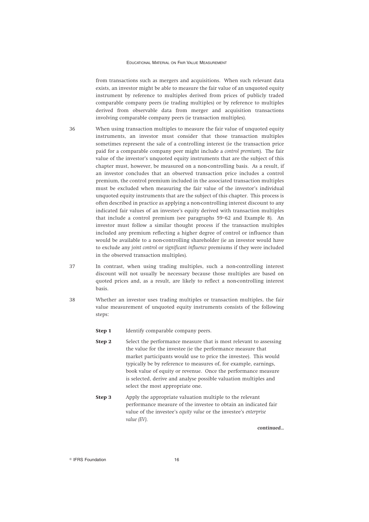from transactions such as mergers and acquisitions. When such relevant data exists, an investor might be able to measure the fair value of an unquoted equity instrument by reference to multiples derived from prices of publicly traded comparable company peers (ie trading multiples) or by reference to multiples derived from observable data from merger and acquisition transactions involving comparable company peers (ie transaction multiples).

- 36 When using transaction multiples to measure the fair value of unquoted equity instruments, an investor must consider that those transaction multiples sometimes represent the sale of a controlling interest (ie the transaction price paid for a comparable company peer might include a *control premium*). The fair value of the investor's unquoted equity instruments that are the subject of this chapter must, however, be measured on a non-controlling basis. As a result, if an investor concludes that an observed transaction price includes a control premium, the control premium included in the associated transaction multiples must be excluded when measuring the fair value of the investor's individual unquoted equity instruments that are the subject of this chapter. This process is often described in practice as applying a non-controlling interest discount to any indicated fair values of an investee's equity derived with transaction multiples that include a control premium (see paragraphs 59–62 and Example 8). An investor must follow a similar thought process if the transaction multiples included any premium reflecting a higher degree of control or influence than would be available to a non-controlling shareholder (ie an investor would have to exclude any *joint control* or *significant influence* premiums if they were included in the observed transaction multiples).
- 37 In contrast, when using trading multiples, such a non-controlling interest discount will not usually be necessary because those multiples are based on quoted prices and, as a result, are likely to reflect a non-controlling interest basis.
- 38 Whether an investor uses trading multiples or transaction multiples, the fair value measurement of unquoted equity instruments consists of the following steps:

**Step 1** Identify comparable company peers.

- **Step 2** Select the performance measure that is most relevant to assessing the value for the investee (ie the performance measure that market participants would use to price the investee). This would typically be by reference to measures of, for example, earnings, book value of equity or revenue. Once the performance measure is selected, derive and analyse possible valuation multiples and select the most appropriate one.
- **Step 3** Apply the appropriate valuation multiple to the relevant performance measure of the investee to obtain an indicated fair value of the investee's *equity value* or the investee's *enterprise value (EV)*.

*continued...*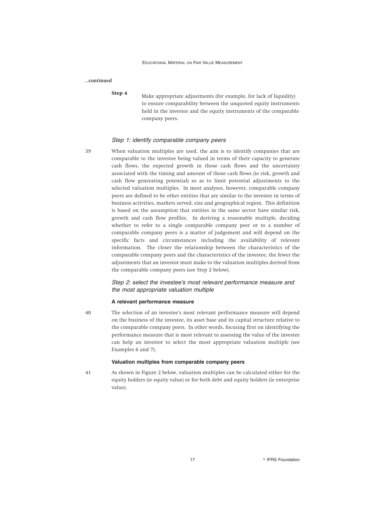# *...continued*

- 
- **Step 4** Make appropriate adjustments (for example, for lack of liquidity) to ensure comparability between the unquoted equity instruments held in the investee and the equity instruments of the comparable company peers.

### *Step 1: identify comparable company peers*

39 When valuation multiples are used, the aim is to identify companies that are comparable to the investee being valued in terms of their capacity to generate cash flows, the expected growth in those cash flows and the uncertainty associated with the timing and amount of those cash flows (ie risk, growth and cash flow generating potential) so as to limit potential adjustments to the selected valuation multiples. In most analyses, however, comparable company peers are defined to be other entities that are similar to the investee in terms of business activities, markets served, size and geographical region. This definition is based on the assumption that entities in the same sector have similar risk, growth and cash flow profiles. In deriving a reasonable multiple, deciding whether to refer to a single comparable company peer or to a number of comparable company peers is a matter of judgement and will depend on the specific facts and circumstances including the availability of relevant information. The closer the relationship between the characteristics of the comparable company peers and the characteristics of the investee, the fewer the adjustments that an investor must make to the valuation multiples derived from the comparable company peers (see Step 2 below).

> *Step 2: select the investee's most relevant performance measure and the most appropriate valuation multiple*

### **A relevant performance measure**

40 The selection of an investee's most relevant performance measure will depend on the business of the investee, its asset base and its capital structure relative to the comparable company peers. In other words, focusing first on identifying the performance measure that is most relevant to assessing the value of the investee can help an investor to select the most appropriate valuation multiple (see Examples 6 and 7).

# **Valuation multiples from comparable company peers**

41 As shown in Figure 2 below, valuation multiples can be calculated either for the equity holders (ie equity value) or for both debt and equity holders (ie enterprise value).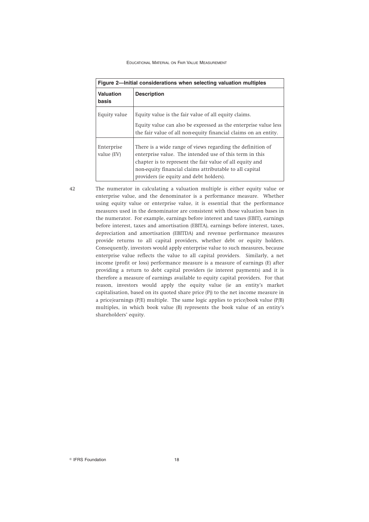|                           | Figure 2—Initial considerations when selecting valuation multiples                                                                                                                                                                                                                      |
|---------------------------|-----------------------------------------------------------------------------------------------------------------------------------------------------------------------------------------------------------------------------------------------------------------------------------------|
| <b>Valuation</b><br>basis | <b>Description</b>                                                                                                                                                                                                                                                                      |
| Equity value              | Equity value is the fair value of all equity claims.<br>Equity value can also be expressed as the enterprise value less<br>the fair value of all non-equity financial claims on an entity.                                                                                              |
| Enterprise<br>value (EV)  | There is a wide range of views regarding the definition of<br>enterprise value. The intended use of this term in this<br>chapter is to represent the fair value of all equity and<br>non-equity financial claims attributable to all capital<br>providers (ie equity and debt holders). |

42 The numerator in calculating a valuation multiple is either equity value or enterprise value, and the denominator is a performance measure. Whether using equity value or enterprise value, it is essential that the performance measures used in the denominator are consistent with those valuation bases in the numerator. For example, earnings before interest and taxes (EBIT), earnings before interest, taxes and amortisation (EBITA), earnings before interest, taxes, depreciation and amortisation (EBITDA) and revenue performance measures provide returns to all capital providers, whether debt or equity holders. Consequently, investors would apply enterprise value to such measures, because enterprise value reflects the value to all capital providers. Similarly, a net income (profit or loss) performance measure is a measure of earnings (E) after providing a return to debt capital providers (ie interest payments) and it is therefore a measure of earnings available to equity capital providers. For that reason, investors would apply the equity value (ie an entity's market capitalisation, based on its quoted share price (P)) to the net income measure in a price/earnings (P/E) multiple. The same logic applies to price/book value (P/B) multiples, in which book value (B) represents the book value of an entity's shareholders' equity.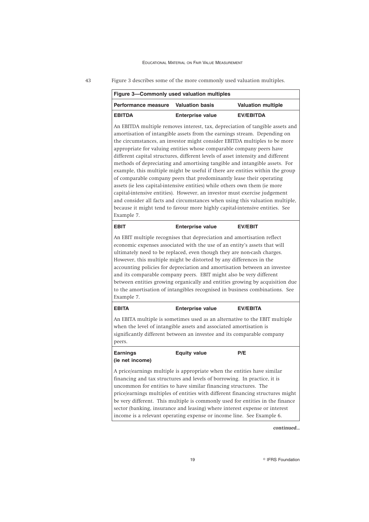|                                                                                                                                                                                                                                                                                                                                                                                                                                                                                                                                                                                                                                                                                                                                                                                                                                                                                                                                                                    | Figure 3-Commonly used valuation multiples |                           |
|--------------------------------------------------------------------------------------------------------------------------------------------------------------------------------------------------------------------------------------------------------------------------------------------------------------------------------------------------------------------------------------------------------------------------------------------------------------------------------------------------------------------------------------------------------------------------------------------------------------------------------------------------------------------------------------------------------------------------------------------------------------------------------------------------------------------------------------------------------------------------------------------------------------------------------------------------------------------|--------------------------------------------|---------------------------|
| Performance measure                                                                                                                                                                                                                                                                                                                                                                                                                                                                                                                                                                                                                                                                                                                                                                                                                                                                                                                                                | <b>Valuation basis</b>                     | <b>Valuation multiple</b> |
| <b>EBITDA</b>                                                                                                                                                                                                                                                                                                                                                                                                                                                                                                                                                                                                                                                                                                                                                                                                                                                                                                                                                      | <b>Enterprise value</b>                    | <b>EV/EBITDA</b>          |
| An EBITDA multiple removes interest, tax, depreciation of tangible assets and<br>amortisation of intangible assets from the earnings stream. Depending on<br>the circumstances, an investor might consider EBITDA multiples to be more<br>appropriate for valuing entities whose comparable company peers have<br>different capital structures, different levels of asset intensity and different<br>methods of depreciating and amortising tangible and intangible assets. For<br>example, this multiple might be useful if there are entities within the group<br>of comparable company peers that predominantly lease their operating<br>assets (ie less capital-intensive entities) while others own them (ie more<br>capital-intensive entities). However, an investor must exercise judgement<br>and consider all facts and circumstances when using this valuation multiple,<br>because it might tend to favour more highly capital-intensive entities. See |                                            |                           |
| Example 7.                                                                                                                                                                                                                                                                                                                                                                                                                                                                                                                                                                                                                                                                                                                                                                                                                                                                                                                                                         |                                            |                           |
|                                                                                                                                                                                                                                                                                                                                                                                                                                                                                                                                                                                                                                                                                                                                                                                                                                                                                                                                                                    |                                            |                           |
| <b>EBIT</b>                                                                                                                                                                                                                                                                                                                                                                                                                                                                                                                                                                                                                                                                                                                                                                                                                                                                                                                                                        | <b>Enterprise value</b>                    | <b>EV/EBIT</b>            |
| An EBIT multiple recognises that depreciation and amortisation reflect<br>economic expenses associated with the use of an entity's assets that will<br>ultimately need to be replaced, even though they are non-cash charges.<br>However, this multiple might be distorted by any differences in the<br>accounting policies for depreciation and amortisation between an investee<br>and its comparable company peers. EBIT might also be very different<br>between entities growing organically and entities growing by acquisition due<br>to the amortisation of intangibles recognised in business combinations. See<br>Example 7.                                                                                                                                                                                                                                                                                                                              |                                            |                           |
| <b>EBITA</b>                                                                                                                                                                                                                                                                                                                                                                                                                                                                                                                                                                                                                                                                                                                                                                                                                                                                                                                                                       | <b>Enterprise value</b>                    | <b>EV/EBITA</b>           |
| An EBITA multiple is sometimes used as an alternative to the EBIT multiple<br>when the level of intangible assets and associated amortisation is<br>significantly different between an investee and its comparable company<br>peers.                                                                                                                                                                                                                                                                                                                                                                                                                                                                                                                                                                                                                                                                                                                               |                                            |                           |

A price/earnings multiple is appropriate when the entities have similar financing and tax structures and levels of borrowing. In practice, it is uncommon for entities to have similar financing structures. The price/earnings multiples of entities with different financing structures might be very different. This multiple is commonly used for entities in the finance sector (banking, insurance and leasing) where interest expense or interest income is a relevant operating expense or income line. See Example 6.

*continued...*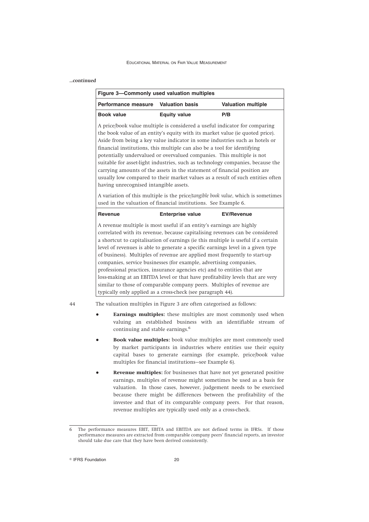| continued |  |
|-----------|--|
|           |  |

|                                                                                                                                                      | <b>Valuation basis</b><br>Performance measure                              | <b>Valuation multiple</b>                                                                                                                                                                                                                                                                                                                                                                                                                                                                                                                                            |
|------------------------------------------------------------------------------------------------------------------------------------------------------|----------------------------------------------------------------------------|----------------------------------------------------------------------------------------------------------------------------------------------------------------------------------------------------------------------------------------------------------------------------------------------------------------------------------------------------------------------------------------------------------------------------------------------------------------------------------------------------------------------------------------------------------------------|
| <b>Book value</b>                                                                                                                                    | <b>Equity value</b>                                                        | P/B                                                                                                                                                                                                                                                                                                                                                                                                                                                                                                                                                                  |
| financial institutions, this multiple can also be a tool for identifying<br>having unrecognised intangible assets.                                   |                                                                            | A price/book value multiple is considered a useful indicator for comparing<br>the book value of an entity's equity with its market value (ie quoted price).<br>Aside from being a key value indicator in some industries such as hotels or<br>potentially undervalued or overvalued companies. This multiple is not<br>suitable for asset-light industries, such as technology companies, because the<br>carrying amounts of the assets in the statement of financial position are<br>usually low compared to their market values as a result of such entities often |
| A variation of this multiple is the price/tangible book value, which is sometimes<br>used in the valuation of financial institutions. See Example 6. |                                                                            |                                                                                                                                                                                                                                                                                                                                                                                                                                                                                                                                                                      |
| <b>Revenue</b>                                                                                                                                       | <b>Enterprise value</b>                                                    | <b>EV/Revenue</b>                                                                                                                                                                                                                                                                                                                                                                                                                                                                                                                                                    |
| A revenue multiple is most useful if an entity's earnings are highly                                                                                 | of business). Multiples of revenue are applied most frequently to start-up | correlated with its revenue, because capitalising revenues can be considered<br>a shortcut to capitalisation of earnings (ie this multiple is useful if a certain<br>level of revenues is able to generate a specific earnings level in a given type                                                                                                                                                                                                                                                                                                                 |

- continuing and stable earnings.<sup>6</sup> ● **Book value multiples:** book value multiples are most commonly used by market participants in industries where entities use their equity capital bases to generate earnings (for example, price/book value multiples for financial institutions—see Example 6).
- **Revenue multiples:** for businesses that have not yet generated positive earnings, multiples of revenue might sometimes be used as a basis for valuation. In those cases, however, judgement needs to be exercised because there might be differences between the profitability of the investee and that of its comparable company peers. For that reason, revenue multiples are typically used only as a cross-check.

<sup>6</sup> The performance measures EBIT, EBITA and EBITDA are not defined terms in IFRSs. If those performance measures are extracted from comparable company peers' financial reports, an investor should take due care that they have been derived consistently.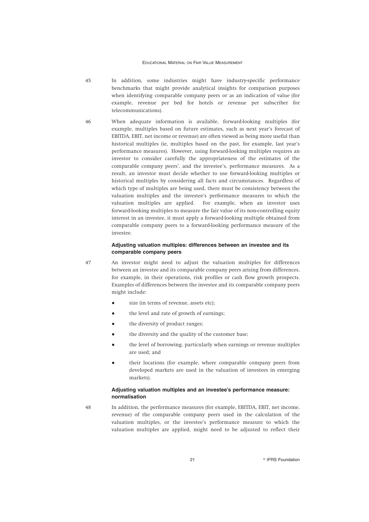- 45 In addition, some industries might have industry-specific performance benchmarks that might provide analytical insights for comparison purposes when identifying comparable company peers or as an indication of value (for example, revenue per bed for hotels or revenue per subscriber for telecommunications).
- 46 When adequate information is available, forward-looking multiples (for example, multiples based on future estimates, such as next year's forecast of EBITDA, EBIT, net income or revenue) are often viewed as being more useful than historical multiples (ie, multiples based on the past, for example, last year's performance measures). However, using forward-looking multiples requires an investor to consider carefully the appropriateness of the estimates of the comparable company peers', and the investee's, performance measures. As a result, an investor must decide whether to use forward-looking multiples or historical multiples by considering all facts and circumstances. Regardless of which type of multiples are being used, there must be consistency between the valuation multiples and the investee's performance measures to which the valuation multiples are applied. For example, when an investor uses forward-looking multiples to measure the fair value of its non-controlling equity interest in an investee, it must apply a forward-looking multiple obtained from comparable company peers to a forward-looking performance measure of the investee.

# **Adjusting valuation multiples: differences between an investee and its comparable company peers**

47 An investor might need to adjust the valuation multiples for differences between an investee and its comparable company peers arising from differences, for example, in their operations, risk profiles or cash flow growth prospects. Examples of differences between the investee and its comparable company peers might include:

- size (in terms of revenue, assets etc);
- the level and rate of growth of earnings;
- the diversity of product ranges;
- the diversity and the quality of the customer base;
- the level of borrowing, particularly when earnings or revenue multiples are used; and
- their locations (for example, where comparable company peers from developed markets are used in the valuation of investees in emerging markets).

# **Adjusting valuation multiples and an investee's performance measure: normalisation**

48 In addition, the performance measures (for example, EBITDA, EBIT, net income, revenue) of the comparable company peers used in the calculation of the valuation multiples, or the investee's performance measure to which the valuation multiples are applied, might need to be adjusted to reflect their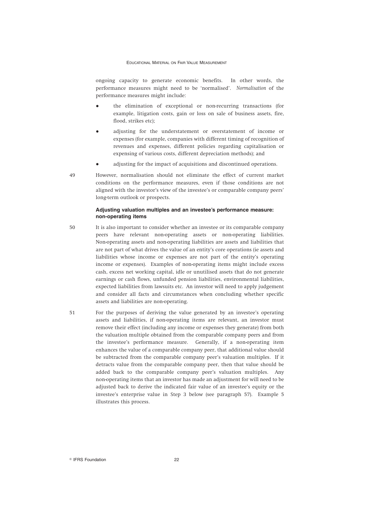ongoing capacity to generate economic benefits. In other words, the performance measures might need to be 'normalised'. *Normalisation* of the performance measures might include:

- the elimination of exceptional or non-recurring transactions (for example, litigation costs, gain or loss on sale of business assets, fire, flood, strikes etc);
- adjusting for the understatement or overstatement of income or expenses (for example, companies with different timing of recognition of revenues and expenses, different policies regarding capitalisation or expensing of various costs, different depreciation methods); and
- adjusting for the impact of acquisitions and discontinued operations.
- 49 However, normalisation should not eliminate the effect of current market conditions on the performance measures, even if those conditions are not aligned with the investor's view of the investee's or comparable company peers' long-term outlook or prospects.

## **Adjusting valuation multiples and an investee's performance measure: non-operating items**

- 50 It is also important to consider whether an investee or its comparable company peers have relevant non-operating assets or non-operating liabilities. Non-operating assets and non-operating liabilities are assets and liabilities that are not part of what drives the value of an entity's core operations (ie assets and liabilities whose income or expenses are not part of the entity's operating income or expenses). Examples of non-operating items might include excess cash, excess net working capital, idle or unutilised assets that do not generate earnings or cash flows, unfunded pension liabilities, environmental liabilities, expected liabilities from lawsuits etc. An investor will need to apply judgement and consider all facts and circumstances when concluding whether specific assets and liabilities are non-operating.
- 51 For the purposes of deriving the value generated by an investee's operating assets and liabilities, if non-operating items are relevant, an investor must remove their effect (including any income or expenses they generate) from both the valuation multiple obtained from the comparable company peers and from the investee's performance measure. Generally, if a non-operating item enhances the value of a comparable company peer, that additional value should be subtracted from the comparable company peer's valuation multiples. If it detracts value from the comparable company peer, then that value should be added back to the comparable company peer's valuation multiples. Any non-operating items that an investor has made an adjustment for will need to be adjusted back to derive the indicated fair value of an investee's equity or the investee's enterprise value in Step 3 below (see paragraph 57). Example 5 illustrates this process.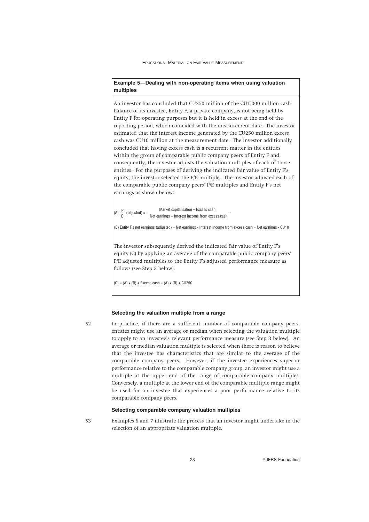# **Example 5—Dealing with non-operating items when using valuation multiples**

An investor has concluded that CU250 million of the CU1,000 million cash balance of its investee, Entity F, a private company, is not being held by Entity F for operating purposes but it is held in excess at the end of the reporting period, which coincided with the measurement date. The investor estimated that the interest income generated by the CU250 million excess cash was CU10 million at the measurement date. The investor additionally concluded that having excess cash is a recurrent matter in the entities within the group of comparable public company peers of Entity F and, consequently, the investor adjusts the valuation multiples of each of those entities. For the purposes of deriving the indicated fair value of Entity F's equity, the investor selected the P/E multiple. The investor adjusted each of the comparable public company peers' P/E multiples and Entity F's net earnings as shown below:

(A)  $\frac{P}{E}$  (adjusted) =  $\frac{Market}{Net\ examples - Interest\ income\ from\ excess\ cash}$ 

(B) Entity F's net earnings (adjusted) = Net earnings - Interest income from excess cash = Net earnings - CU10

The investor subsequently derived the indicated fair value of Entity F's equity (C) by applying an average of the comparable public company peers' P/E adjusted multiples to the Entity F's adjusted performance measure as follows (see Step 3 below).

 $(C) = (A) \times (B) +$  Excess cash =  $(A) \times (B) +$  CU250

### **Selecting the valuation multiple from a range**

52 In practice, if there are a sufficient number of comparable company peers, entities might use an average or median when selecting the valuation multiple to apply to an investee's relevant performance measure (see Step 3 below). An average or median valuation multiple is selected when there is reason to believe that the investee has characteristics that are similar to the average of the comparable company peers. However, if the investee experiences superior performance relative to the comparable company group, an investor might use a multiple at the upper end of the range of comparable company multiples. Conversely, a multiple at the lower end of the comparable multiple range might be used for an investee that experiences a poor performance relative to its comparable company peers.

# **Selecting comparable company valuation multiples**

53 Examples 6 and 7 illustrate the process that an investor might undertake in the selection of an appropriate valuation multiple.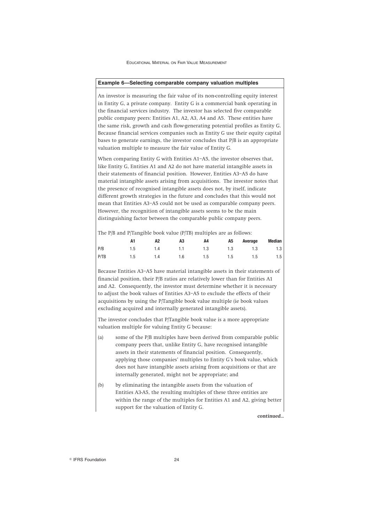#### **Example 6—Selecting comparable company valuation multiples**

An investor is measuring the fair value of its non-controlling equity interest in Entity G, a private company. Entity G is a commercial bank operating in the financial services industry. The investor has selected five comparable public company peers: Entities A1, A2, A3, A4 and A5. These entities have the same risk, growth and cash flow-generating potential profiles as Entity G. Because financial services companies such as Entity G use their equity capital bases to generate earnings, the investor concludes that P/B is an appropriate valuation multiple to measure the fair value of Entity G.

When comparing Entity G with Entities A1–A5, the investor observes that, like Entity G, Entities A1 and A2 do not have material intangible assets in their statements of financial position. However, Entities A3–A5 do have material intangible assets arising from acquisitions. The investor notes that the presence of recognised intangible assets does not, by itself, indicate different growth strategies in the future and concludes that this would not mean that Entities A3–A5 could not be used as comparable company peers. However, the recognition of intangible assets seems to be the main distinguishing factor between the comparable public company peers.

The P/B and P/Tangible book value (P/TB) multiples are as follows:

|      | A2                              | A3 | A4 and the state of the state of the state of the state of the state of the state of the state of the state of the state of the state of the state of the state of the state of the state of the state of the state of the sta | A5 Average | Median |
|------|---------------------------------|----|--------------------------------------------------------------------------------------------------------------------------------------------------------------------------------------------------------------------------------|------------|--------|
| P/B  | 1.5 1.4 1.1 1.3 1.3 1.3 1.3 1.3 |    |                                                                                                                                                                                                                                |            |        |
| P/TB | 1.5 1.4 1.6 1.5 1.5 1.5 1.5 1.5 |    |                                                                                                                                                                                                                                |            |        |

Because Entities A3–A5 have material intangible assets in their statements of financial position, their P/B ratios are relatively lower than for Entities A1 and A2. Consequently, the investor must determine whether it is necessary to adjust the book values of Entities A3–A5 to exclude the effects of their acquisitions by using the P/Tangible book value multiple (ie book values excluding acquired and internally generated intangible assets).

The investor concludes that P/Tangible book value is a more appropriate valuation multiple for valuing Entity G because:

- (a) some of the P/B multiples have been derived from comparable public company peers that, unlike Entity G, have recognised intangible assets in their statements of financial position. Consequently, applying those companies' multiples to Entity G's book value, which does not have intangible assets arising from acquisitions or that are internally generated, might not be appropriate; and
- (b) by eliminating the intangible assets from the valuation of Entities A3-A5, the resulting multiples of these three entities are within the range of the multiples for Entities A1 and A2, giving better support for the valuation of Entity G.

*continued...*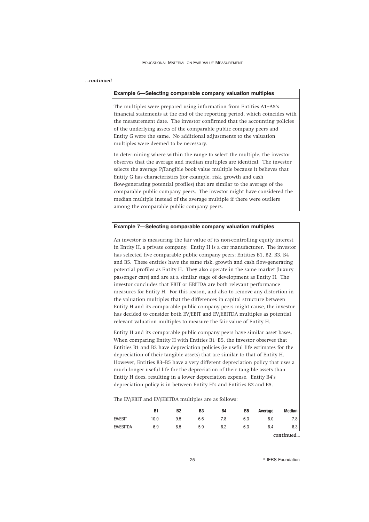# *...continued*

### **Example 6—Selecting comparable company valuation multiples**

The multiples were prepared using information from Entities A1–A5's financial statements at the end of the reporting period, which coincides with the measurement date. The investor confirmed that the accounting policies of the underlying assets of the comparable public company peers and Entity G were the same. No additional adjustments to the valuation multiples were deemed to be necessary.

In determining where within the range to select the multiple, the investor observes that the average and median multiples are identical. The investor selects the average P/Tangible book value multiple because it believes that Entity G has characteristics (for example, risk, growth and cash flow-generating potential profiles) that are similar to the average of the comparable public company peers. The investor might have considered the median multiple instead of the average multiple if there were outliers among the comparable public company peers.

# **Example 7—Selecting comparable company valuation multiples**

An investor is measuring the fair value of its non-controlling equity interest in Entity H, a private company. Entity H is a car manufacturer. The investor has selected five comparable public company peers: Entities B1, B2, B3, B4 and B5. These entities have the same risk, growth and cash flow-generating potential profiles as Entity H. They also operate in the same market (luxury passenger cars) and are at a similar stage of development as Entity H. The investor concludes that EBIT or EBITDA are both relevant performance measures for Entity H. For this reason, and also to remove any distortion in the valuation multiples that the differences in capital structure between Entity H and its comparable public company peers might cause, the investor has decided to consider both EV/EBIT and EV/EBITDA multiples as potential relevant valuation multiples to measure the fair value of Entity H.

Entity H and its comparable public company peers have similar asset bases. When comparing Entity H with Entities B1–B5, the investor observes that Entities B1 and B2 have depreciation policies (ie useful life estimates for the depreciation of their tangible assets) that are similar to that of Entity H. However, Entities B3–B5 have a very different depreciation policy that uses a much longer useful life for the depreciation of their tangible assets than Entity H does, resulting in a lower depreciation expense. Entity B4's depreciation policy is in between Entity H's and Entities B3 and B5.

The EV/EBIT and EV/EBITDA multiples are as follows:

|           | <b>B1</b> | B <sub>2</sub> | B <sub>3</sub> | <b>B4</b> | <b>B5</b> | Average | <b>Median</b> |
|-----------|-----------|----------------|----------------|-----------|-----------|---------|---------------|
| EV/EBIT   | 10.0      | 9.5            | 6.6            | 7.8       | 6.3       | 8.0     | 7.8           |
| EV/EBITDA | 6.9       | 6.5            | 5.9            | 6.2       | 6.3       | 6.4     | 6.3           |
|           |           |                |                |           |           |         | continued     |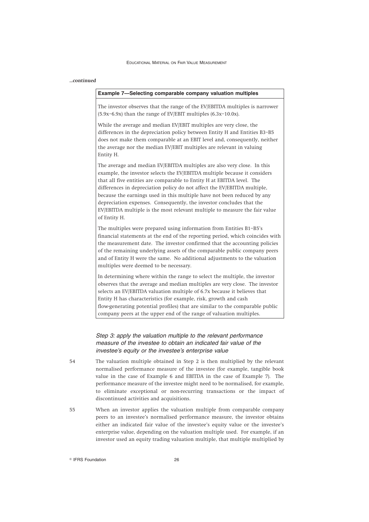### *...continued*

|  |  | Example 7-Selecting comparable company valuation multiples |  |  |  |  |
|--|--|------------------------------------------------------------|--|--|--|--|
|--|--|------------------------------------------------------------|--|--|--|--|

The investor observes that the range of the EV/EBITDA multiples is narrower (5.9x–6.9x) than the range of EV/EBIT multiples (6.3x–10.0x).

While the average and median EV/EBIT multiples are very close, the differences in the depreciation policy between Entity H and Entities B3–B5 does not make them comparable at an EBIT level and, consequently, neither the average nor the median EV/EBIT multiples are relevant in valuing Entity H.

The average and median EV/EBITDA multiples are also very close. In this example, the investor selects the EV/EBITDA multiple because it considers that all five entities are comparable to Entity H at EBITDA level. The differences in depreciation policy do not affect the EV/EBITDA multiple, because the earnings used in this multiple have not been reduced by any depreciation expenses. Consequently, the investor concludes that the EV/EBITDA multiple is the most relevant multiple to measure the fair value of Entity H.

The multiples were prepared using information from Entities B1–B5's financial statements at the end of the reporting period, which coincides with the measurement date. The investor confirmed that the accounting policies of the remaining underlying assets of the comparable public company peers and of Entity H were the same. No additional adjustments to the valuation multiples were deemed to be necessary.

In determining where within the range to select the multiple, the investor observes that the average and median multiples are very close. The investor selects an EV/EBITDA valuation multiple of 6.7x because it believes that Entity H has characteristics (for example, risk, growth and cash flow-generating potential profiles) that are similar to the comparable public company peers at the upper end of the range of valuation multiples.

# *Step 3: apply the valuation multiple to the relevant performance measure of the investee to obtain an indicated fair value of the investee's equity or the investee's enterprise value*

- 54 The valuation multiple obtained in Step 2 is then multiplied by the relevant normalised performance measure of the investee (for example, tangible book value in the case of Example 6 and EBITDA in the case of Example 7). The performance measure of the investee might need to be normalised, for example, to eliminate exceptional or non-recurring transactions or the impact of discontinued activities and acquisitions.
- 55 When an investor applies the valuation multiple from comparable company peers to an investee's normalised performance measure, the investor obtains either an indicated fair value of the investee's equity value or the investee's enterprise value, depending on the valuation multiple used. For example, if an investor used an equity trading valuation multiple, that multiple multiplied by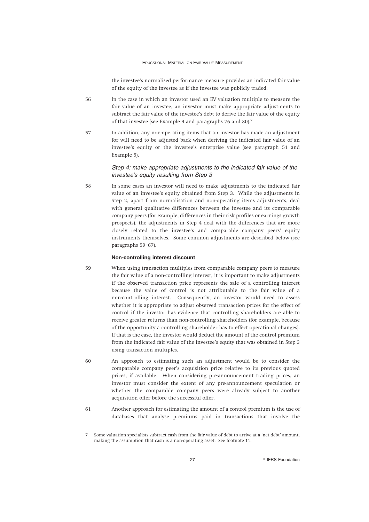the investee's normalised performance measure provides an indicated fair value of the equity of the investee as if the investee was publicly traded.

- 56 In the case in which an investor used an EV valuation multiple to measure the fair value of an investee, an investor must make appropriate adjustments to subtract the fair value of the investee's debt to derive the fair value of the equity of that investee (see Example 9 and paragraphs 76 and 80).<sup>7</sup>
- 57 In addition, any non-operating items that an investor has made an adjustment for will need to be adjusted back when deriving the indicated fair value of an investee's equity or the investee's enterprise value (see paragraph 51 and Example 5).

# *Step 4: make appropriate adjustments to the indicated fair value of the investee's equity resulting from Step 3*

58 In some cases an investor will need to make adjustments to the indicated fair value of an investee's equity obtained from Step 3. While the adjustments in Step 2, apart from normalisation and non-operating items adjustments, deal with general qualitative differences between the investee and its comparable company peers (for example, differences in their risk profiles or earnings growth prospects), the adjustments in Step 4 deal with the differences that are more closely related to the investee's and comparable company peers' equity instruments themselves. Some common adjustments are described below (see paragraphs 59–67).

# **Non-controlling interest discount**

- 59 When using transaction multiples from comparable company peers to measure the fair value of a non-controlling interest, it is important to make adjustments if the observed transaction price represents the sale of a controlling interest because the value of control is not attributable to the fair value of a non-controlling interest. Consequently, an investor would need to assess whether it is appropriate to adjust observed transaction prices for the effect of control if the investor has evidence that controlling shareholders are able to receive greater returns than non-controlling shareholders (for example, because of the opportunity a controlling shareholder has to effect operational changes). If that is the case, the investor would deduct the amount of the control premium from the indicated fair value of the investee's equity that was obtained in Step 3 using transaction multiples.
- 60 An approach to estimating such an adjustment would be to consider the comparable company peer's acquisition price relative to its previous quoted prices, if available. When considering pre-announcement trading prices, an investor must consider the extent of any pre-announcement speculation or whether the comparable company peers were already subject to another acquisition offer before the successful offer.
- 61 Another approach for estimating the amount of a control premium is the use of databases that analyse premiums paid in transactions that involve the

<sup>7</sup> Some valuation specialists subtract cash from the fair value of debt to arrive at a 'net debt' amount, making the assumption that cash is a non-operating asset. See footnote 11.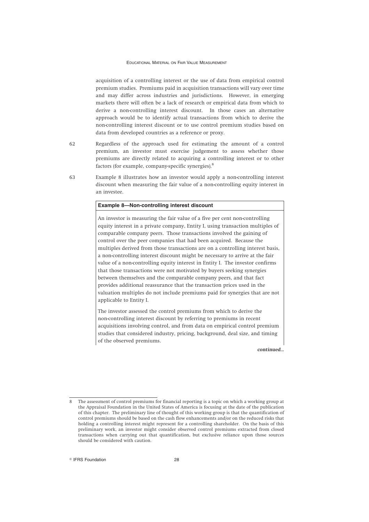acquisition of a controlling interest or the use of data from empirical control premium studies. Premiums paid in acquisition transactions will vary over time and may differ across industries and jurisdictions. However, in emerging markets there will often be a lack of research or empirical data from which to derive a non-controlling interest discount. In those cases an alternative approach would be to identify actual transactions from which to derive the non-controlling interest discount or to use control premium studies based on data from developed countries as a reference or proxy.

- 62 Regardless of the approach used for estimating the amount of a control premium, an investor must exercise judgement to assess whether those premiums are directly related to acquiring a controlling interest or to other factors (for example, company-specific synergies).<sup>8</sup>
- 63 Example 8 illustrates how an investor would apply a non-controlling interest discount when measuring the fair value of a non-controlling equity interest in an investee.

# **Example 8—Non-controlling interest discount**

An investor is measuring the fair value of a five per cent non-controlling equity interest in a private company, Entity I, using transaction multiples of comparable company peers. Those transactions involved the gaining of control over the peer companies that had been acquired. Because the multiples derived from those transactions are on a controlling interest basis, a non-controlling interest discount might be necessary to arrive at the fair value of a non-controlling equity interest in Entity I. The investor confirms that those transactions were not motivated by buyers seeking synergies between themselves and the comparable company peers, and that fact provides additional reassurance that the transaction prices used in the valuation multiples do not include premiums paid for synergies that are not applicable to Entity I.

The investor assessed the control premiums from which to derive the non-controlling interest discount by referring to premiums in recent acquisitions involving control, and from data on empirical control premium studies that considered industry, pricing, background, deal size, and timing of the observed premiums.

*continued...*

The assessment of control premiums for financial reporting is a topic on which a working group at the Appraisal Foundation in the United States of America is focusing at the date of the publication of this chapter. The preliminary line of thought of this working group is that the quantification of control premiums should be based on the cash flow enhancements and/or on the reduced risks that holding a controlling interest might represent for a controlling shareholder. On the basis of this preliminary work, an investor might consider observed control premiums extracted from closed transactions when carrying out that quantification, but exclusive reliance upon those sources should be considered with caution.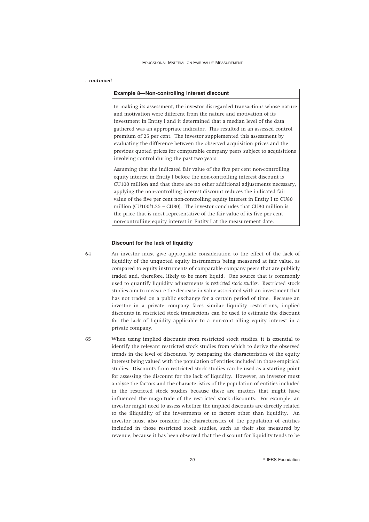# *...continued*

### **Example 8—Non-controlling interest discount**

In making its assessment, the investor disregarded transactions whose nature and motivation were different from the nature and motivation of its investment in Entity I and it determined that a median level of the data gathered was an appropriate indicator. This resulted in an assessed control premium of 25 per cent. The investor supplemented this assessment by evaluating the difference between the observed acquisition prices and the previous quoted prices for comparable company peers subject to acquisitions involving control during the past two years.

Assuming that the indicated fair value of the five per cent non-controlling equity interest in Entity I before the non-controlling interest discount is CU100 million and that there are no other additional adjustments necessary, applying the non-controlling interest discount reduces the indicated fair value of the five per cent non-controlling equity interest in Entity I to CU80 million (CU100/1.25 = CU80). The investor concludes that CU80 million is the price that is most representative of the fair value of its five per cent non-controlling equity interest in Entity I at the measurement date.

#### **Discount for the lack of liquidity**

64 An investor must give appropriate consideration to the effect of the lack of liquidity of the unquoted equity instruments being measured at fair value, as compared to equity instruments of comparable company peers that are publicly traded and, therefore, likely to be more liquid. One source that is commonly used to quantify liquidity adjustments is *restricted stock studies*. Restricted stock studies aim to measure the decrease in value associated with an investment that has not traded on a public exchange for a certain period of time. Because an investor in a private company faces similar liquidity restrictions, implied discounts in restricted stock transactions can be used to estimate the discount for the lack of liquidity applicable to a non-controlling equity interest in a private company.

65 When using implied discounts from restricted stock studies, it is essential to identify the relevant restricted stock studies from which to derive the observed trends in the level of discounts, by comparing the characteristics of the equity interest being valued with the population of entities included in those empirical studies. Discounts from restricted stock studies can be used as a starting point for assessing the discount for the lack of liquidity. However, an investor must analyse the factors and the characteristics of the population of entities included in the restricted stock studies because these are matters that might have influenced the magnitude of the restricted stock discounts. For example, an investor might need to assess whether the implied discounts are directly related to the illiquidity of the investments or to factors other than liquidity. An investor must also consider the characteristics of the population of entities included in those restricted stock studies, such as their size measured by revenue, because it has been observed that the discount for liquidity tends to be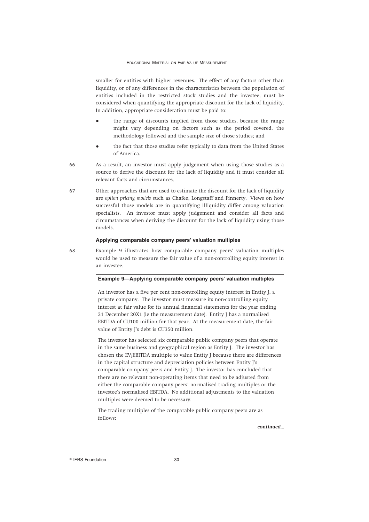smaller for entities with higher revenues. The effect of any factors other than liquidity, or of any differences in the characteristics between the population of entities included in the restricted stock studies and the investee, must be considered when quantifying the appropriate discount for the lack of liquidity. In addition, appropriate consideration must be paid to:

- the range of discounts implied from those studies, because the range might vary depending on factors such as the period covered, the methodology followed and the sample size of those studies; and
- the fact that those studies refer typically to data from the United States of America.
- 66 As a result, an investor must apply judgement when using those studies as a source to derive the discount for the lack of liquidity and it must consider all relevant facts and circumstances.
- 67 Other approaches that are used to estimate the discount for the lack of liquidity are *option pricing models* such as Chafee, Longstaff and Finnerty. Views on how successful those models are in quantifying illiquidity differ among valuation specialists. An investor must apply judgement and consider all facts and circumstances when deriving the discount for the lack of liquidity using those models.

# **Applying comparable company peers' valuation multiples**

68 Example 9 illustrates how comparable company peers' valuation multiples would be used to measure the fair value of a non-controlling equity interest in an investee.

# **Example 9—Applying comparable company peers' valuation multiples** An investor has a five per cent non-controlling equity interest in Entity J, a private company. The investor must measure its non-controlling equity interest at fair value for its annual financial statements for the year ending 31 December 20X1 (ie the measurement date). Entity J has a normalised EBITDA of CU100 million for that year. At the measurement date, the fair value of Entity J's debt is CU350 million. The investor has selected six comparable public company peers that operate

in the same business and geographical region as Entity J. The investor has chosen the EV/EBITDA multiple to value Entity J because there are differences in the capital structure and depreciation policies between Entity J's comparable company peers and Entity J. The investor has concluded that there are no relevant non-operating items that need to be adjusted from either the comparable company peers' normalised trading multiples or the investee's normalised EBITDA. No additional adjustments to the valuation multiples were deemed to be necessary.

The trading multiples of the comparable public company peers are as follows:

*continued...*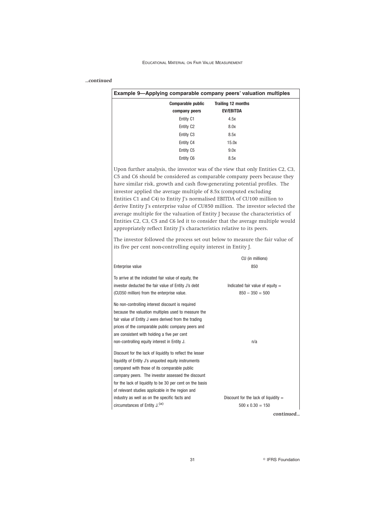# *...continued*

| Example 9-Applying comparable company peers' valuation multiples                                                                                                                                                                                                                                                                                                                                                                                                                                                                                                                                                                                                                                                     |                                        |
|----------------------------------------------------------------------------------------------------------------------------------------------------------------------------------------------------------------------------------------------------------------------------------------------------------------------------------------------------------------------------------------------------------------------------------------------------------------------------------------------------------------------------------------------------------------------------------------------------------------------------------------------------------------------------------------------------------------------|----------------------------------------|
| <b>Comparable public</b>                                                                                                                                                                                                                                                                                                                                                                                                                                                                                                                                                                                                                                                                                             | <b>Trailing 12 months</b>              |
| company peers                                                                                                                                                                                                                                                                                                                                                                                                                                                                                                                                                                                                                                                                                                        | <b>EV/EBITDA</b>                       |
| Entity C1                                                                                                                                                                                                                                                                                                                                                                                                                                                                                                                                                                                                                                                                                                            | 4.5x                                   |
| Entity C <sub>2</sub>                                                                                                                                                                                                                                                                                                                                                                                                                                                                                                                                                                                                                                                                                                | 8.0x                                   |
| Entity C <sub>3</sub>                                                                                                                                                                                                                                                                                                                                                                                                                                                                                                                                                                                                                                                                                                | 8.5x                                   |
| Entity C4                                                                                                                                                                                                                                                                                                                                                                                                                                                                                                                                                                                                                                                                                                            | 15.0x                                  |
| Entity C5                                                                                                                                                                                                                                                                                                                                                                                                                                                                                                                                                                                                                                                                                                            | 9.0x                                   |
| Entity C6                                                                                                                                                                                                                                                                                                                                                                                                                                                                                                                                                                                                                                                                                                            | 8.5x                                   |
| C5 and C6 should be considered as comparable company peers because they<br>have similar risk, growth and cash flow-generating potential profiles. The<br>investor applied the average multiple of 8.5x (computed excluding<br>Entities C1 and C4) to Entity J's normalised EBITDA of CU100 million to<br>derive Entity J's enterprise value of CU850 million. The investor selected the<br>average multiple for the valuation of Entity J because the characteristics of<br>Entities C2, C3, C5 and C6 led it to consider that the average multiple would<br>appropriately reflect Entity J's characteristics relative to its peers.<br>The investor followed the process set out below to measure the fair value of |                                        |
| its five per cent non-controlling equity interest in Entity J.                                                                                                                                                                                                                                                                                                                                                                                                                                                                                                                                                                                                                                                       |                                        |
|                                                                                                                                                                                                                                                                                                                                                                                                                                                                                                                                                                                                                                                                                                                      | CU (in millions)                       |
| Enterprise value                                                                                                                                                                                                                                                                                                                                                                                                                                                                                                                                                                                                                                                                                                     | 850                                    |
| To arrive at the indicated fair value of equity, the                                                                                                                                                                                                                                                                                                                                                                                                                                                                                                                                                                                                                                                                 |                                        |
| investor deducted the fair value of Entity J's debt                                                                                                                                                                                                                                                                                                                                                                                                                                                                                                                                                                                                                                                                  | Indicated fair value of equity $=$     |
| (CU350 million) from the enterprise value.                                                                                                                                                                                                                                                                                                                                                                                                                                                                                                                                                                                                                                                                           | $850 - 350 = 500$                      |
| No non-controlling interest discount is required<br>because the valuation multiples used to measure the<br>fair value of Entity J were derived from the trading<br>prices of the comparable public company peers and<br>are consistent with holding a five per cent<br>non-controlling equity interest in Entity J.                                                                                                                                                                                                                                                                                                                                                                                                  | n/a                                    |
|                                                                                                                                                                                                                                                                                                                                                                                                                                                                                                                                                                                                                                                                                                                      |                                        |
|                                                                                                                                                                                                                                                                                                                                                                                                                                                                                                                                                                                                                                                                                                                      |                                        |
|                                                                                                                                                                                                                                                                                                                                                                                                                                                                                                                                                                                                                                                                                                                      |                                        |
|                                                                                                                                                                                                                                                                                                                                                                                                                                                                                                                                                                                                                                                                                                                      |                                        |
|                                                                                                                                                                                                                                                                                                                                                                                                                                                                                                                                                                                                                                                                                                                      |                                        |
|                                                                                                                                                                                                                                                                                                                                                                                                                                                                                                                                                                                                                                                                                                                      |                                        |
|                                                                                                                                                                                                                                                                                                                                                                                                                                                                                                                                                                                                                                                                                                                      |                                        |
| Discount for the lack of liquidity to reflect the lesser<br>liquidity of Entity J's unquoted equity instruments<br>compared with those of its comparable public<br>company peers. The investor assessed the discount<br>for the lack of liquidity to be 30 per cent on the basis<br>of relevant studies applicable in the region and<br>industry as well as on the specific facts and                                                                                                                                                                                                                                                                                                                                | Discount for the lack of liquidity $=$ |

*continued...*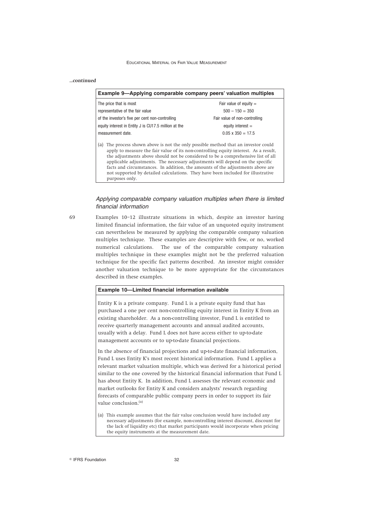# *...continued*

purposes only.

| Example 9—Applying comparable company peers' valuation multiples                                                                                                                                                                                                                                                                                                                                                                                                                                                         |                               |  |  |
|--------------------------------------------------------------------------------------------------------------------------------------------------------------------------------------------------------------------------------------------------------------------------------------------------------------------------------------------------------------------------------------------------------------------------------------------------------------------------------------------------------------------------|-------------------------------|--|--|
| The price that is most                                                                                                                                                                                                                                                                                                                                                                                                                                                                                                   | Fair value of equity $=$      |  |  |
| representative of the fair value                                                                                                                                                                                                                                                                                                                                                                                                                                                                                         | $500 - 150 = 350$             |  |  |
| of the investor's five per cent non-controlling                                                                                                                                                                                                                                                                                                                                                                                                                                                                          | Fair value of non-controlling |  |  |
| equity interest in Entity J is CU17.5 million at the                                                                                                                                                                                                                                                                                                                                                                                                                                                                     | equity interest $=$           |  |  |
| measurement date.                                                                                                                                                                                                                                                                                                                                                                                                                                                                                                        | $0.05 \times 350 = 17.5$      |  |  |
| The process shown above is not the only possible method that an investor could<br>(a)<br>apply to measure the fair value of its non-controlling equity interest. As a result,<br>the adjustments above should not be considered to be a comprehensive list of all<br>applicable adjustments. The necessary adjustments will depend on the specific<br>facts and circumstances. In addition, the amounts of the adjustments above are<br>not supported by detailed calculations. They have been included for illustrative |                               |  |  |

# *Applying comparable company valuation multiples when there is limited financial information*

69 Examples 10–12 illustrate situations in which, despite an investor having limited financial information, the fair value of an unquoted equity instrument can nevertheless be measured by applying the comparable company valuation multiples technique. These examples are descriptive with few, or no, worked numerical calculations. The use of the comparable company valuation multiples technique in these examples might not be the preferred valuation technique for the specific fact patterns described. An investor might consider another valuation technique to be more appropriate for the circumstances described in these examples.

### **Example 10—Limited financial information available**

Entity K is a private company. Fund L is a private equity fund that has purchased a one per cent non-controlling equity interest in Entity K from an existing shareholder. As a non-controlling investor, Fund L is entitled to receive quarterly management accounts and annual audited accounts, usually with a delay. Fund L does not have access either to up-to-date management accounts or to up-to-date financial projections.

In the absence of financial projections and up-to-date financial information, Fund L uses Entity K's most recent historical information. Fund L applies a relevant market valuation multiple, which was derived for a historical period similar to the one covered by the historical financial information that Fund L has about Entity K. In addition, Fund L assesses the relevant economic and market outlooks for Entity K and considers analysts' research regarding forecasts of comparable public company peers in order to support its fair value conclusion.<sup>(a)</sup>

<sup>(</sup>a) This example assumes that the fair value conclusion would have included any necessary adjustments (for example, non-controlling interest discount, discount for the lack of liquidity etc) that market participants would incorporate when pricing the equity instruments at the measurement date.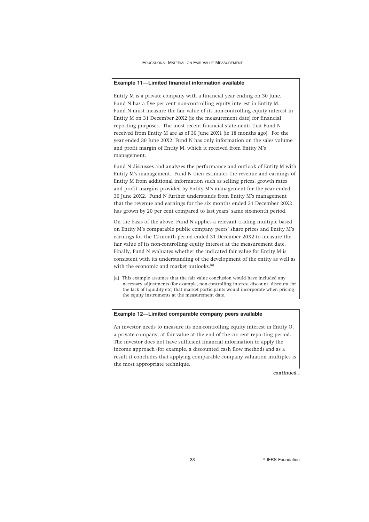# **Example 11—Limited financial information available**

Entity M is a private company with a financial year ending on 30 June. Fund N has a five per cent non-controlling equity interest in Entity M. Fund N must measure the fair value of its non-controlling equity interest in Entity M on 31 December 20X2 (ie the measurement date) for financial reporting purposes. The most recent financial statements that Fund N received from Entity M are as of 30 June 20X1 (ie 18 months ago). For the year ended 30 June 20X2, Fund N has only information on the sales volume and profit margin of Entity M, which it received from Entity M's management.

Fund N discusses and analyses the performance and outlook of Entity M with Entity M's management. Fund N then estimates the revenue and earnings of Entity M from additional information such as selling prices, growth rates and profit margins provided by Entity M's management for the year ended 30 June 20X2. Fund N further understands from Entity M's management that the revenue and earnings for the six months ended 31 December 20X2 has grown by 20 per cent compared to last years' same six-month period.

On the basis of the above, Fund N applies a relevant trading multiple based on Entity M's comparable public company peers' share prices and Entity M's earnings for the 12-month period ended 31 December 20X2 to measure the fair value of its non-controlling equity interest at the measurement date. Finally, Fund N evaluates whether the indicated fair value for Entity M is consistent with its understanding of the development of the entity as well as with the economic and market outlooks.<sup>(a)</sup>

(a) This example assumes that the fair value conclusion would have included any necessary adjustments (for example, non-controlling interest discount, discount for the lack of liquidity etc) that market participants would incorporate when pricing the equity instruments at the measurement date.

# **Example 12—Limited comparable company peers available**

An investor needs to measure its non-controlling equity interest in Entity O, a private company, at fair value at the end of the current reporting period. The investor does not have sufficient financial information to apply the income approach (for example, a discounted cash flow method) and as a result it concludes that applying comparable company valuation multiples is the most appropriate technique.

*continued...*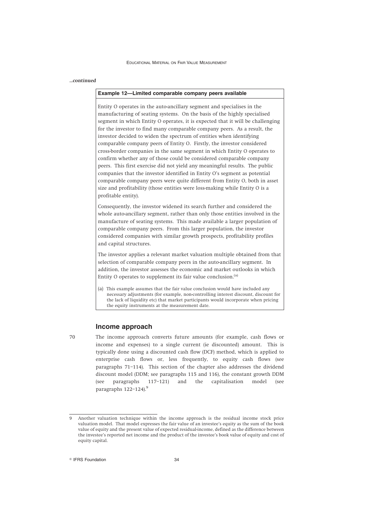### *...continued*

### **Example 12—Limited comparable company peers available**

Entity O operates in the auto-ancillary segment and specialises in the manufacturing of seating systems. On the basis of the highly specialised segment in which Entity O operates, it is expected that it will be challenging for the investor to find many comparable company peers. As a result, the investor decided to widen the spectrum of entities when identifying comparable company peers of Entity O. Firstly, the investor considered cross-border companies in the same segment in which Entity O operates to confirm whether any of those could be considered comparable company peers. This first exercise did not yield any meaningful results. The public companies that the investor identified in Entity O's segment as potential comparable company peers were quite different from Entity O, both in asset size and profitability (those entities were loss-making while Entity O is a profitable entity).

Consequently, the investor widened its search further and considered the whole auto-ancillary segment, rather than only those entities involved in the manufacture of seating systems. This made available a larger population of comparable company peers. From this larger population, the investor considered companies with similar growth prospects, profitability profiles and capital structures.

The investor applies a relevant market valuation multiple obtained from that selection of comparable company peers in the auto-ancillary segment. In addition, the investor assesses the economic and market outlooks in which Entity O operates to supplement its fair value conclusion.(a)

(a) This example assumes that the fair value conclusion would have included any necessary adjustments (for example, non-controlling interest discount, discount for the lack of liquidity etc) that market participants would incorporate when pricing the equity instruments at the measurement date.

### **Income approach**

70 The income approach converts future amounts (for example, cash flows or income and expenses) to a single current (ie discounted) amount. This is typically done using a discounted cash flow (DCF) method, which is applied to enterprise cash flows or, less frequently, to equity cash flows (see paragraphs 71–114). This section of the chapter also addresses the dividend discount model (DDM; see paragraphs 115 and 116), the constant growth DDM (see paragraphs 117–121) and the capitalisation model (see paragraphs 122-124).<sup>9</sup>

<sup>9</sup> Another valuation technique within the income approach is the residual income stock price valuation model. That model expresses the fair value of an investee's equity as the sum of the book value of equity and the present value of expected residual-income, defined as the difference between the investee's reported net income and the product of the investee's book value of equity and cost of equity capital.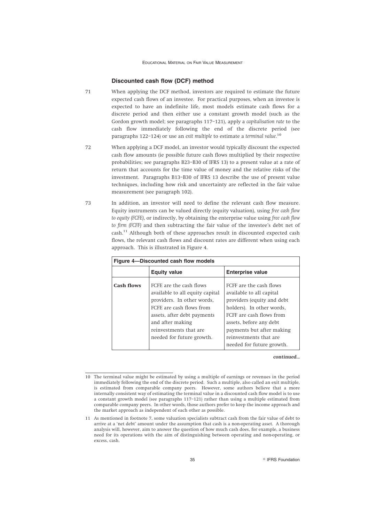# **Discounted cash flow (DCF) method**

- 71 When applying the DCF method, investors are required to estimate the future expected cash flows of an investee. For practical purposes, when an investee is expected to have an indefinite life, most models estimate cash flows for a discrete period and then either use a constant growth model (such as the Gordon growth model; see paragraphs 117–121), apply a *capitalisation rate* to the cash flow immediately following the end of the discrete period (see paragraphs 122–124) or use an *exit multiple* to estimate a *terminal value*. 10
- 72 When applying a DCF model, an investor would typically discount the expected cash flow amounts (ie possible future cash flows multiplied by their respective probabilities; see paragraphs B23–B30 of IFRS 13) to a present value at a rate of return that accounts for the time value of money and the relative risks of the investment. Paragraphs B13–B30 of IFRS 13 describe the use of present value techniques, including how risk and uncertainty are reflected in the fair value measurement (see paragraph 102).
- 73 In addition, an investor will need to define the relevant cash flow measure. Equity instruments can be valued directly (equity valuation), using *free cash flow to equity (FCFE)*, or indirectly, by obtaining the enterprise value using *free cash flow to firm (FCFF)* and then subtracting the fair value of the investee's debt net of cash.<sup>11</sup> Although both of these approaches result in discounted expected cash flows, the relevant cash flows and discount rates are different when using each approach. This is illustrated in Figure 4.

| Figure 4-Discounted cash flow models |                                                                                                                                                                                                                                |                                                                                                                                                                                                                                                           |  |  |
|--------------------------------------|--------------------------------------------------------------------------------------------------------------------------------------------------------------------------------------------------------------------------------|-----------------------------------------------------------------------------------------------------------------------------------------------------------------------------------------------------------------------------------------------------------|--|--|
|                                      | <b>Equity value</b>                                                                                                                                                                                                            | <b>Enterprise value</b>                                                                                                                                                                                                                                   |  |  |
| Cash flows                           | FCFE are the cash flows<br>available to all equity capital<br>providers. In other words,<br>FCFE are cash flows from<br>assets, after debt payments<br>and after making<br>reinvestments that are<br>needed for future growth. | FCFF are the cash flows<br>available to all capital<br>providers (equity and debt<br>holders). In other words,<br>FCFF are cash flows from<br>assets, before any debt<br>payments but after making<br>reinvestments that are<br>needed for future growth. |  |  |

*continued...*

<sup>10</sup> The terminal value might be estimated by using a multiple of earnings or revenues in the period immediately following the end of the discrete period. Such a multiple, also called an exit multiple, is estimated from comparable company peers. However, some authors believe that a more internally consistent way of estimating the terminal value in a discounted cash flow model is to use a constant growth model (see paragraphs 117–121) rather than using a multiple estimated from comparable company peers. In other words, those authors prefer to keep the income approach and the market approach as independent of each other as possible.

<sup>11</sup> As mentioned in footnote 7, some valuation specialists subtract cash from the fair value of debt to arrive at a 'net debt' amount under the assumption that cash is a non-operating asset. A thorough analysis will, however, aim to answer the question of how much cash does, for example, a business need for its operations with the aim of distinguishing between operating and non-operating, or excess, cash.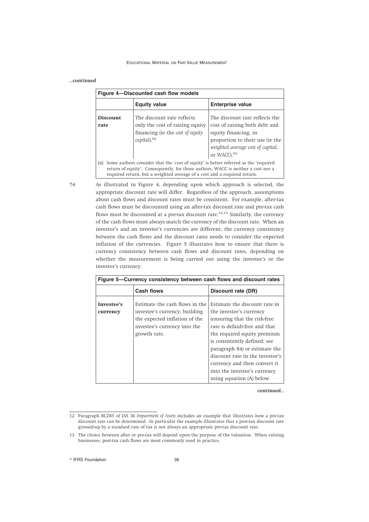| Figure 4-Discounted cash flow models |                                                                                                                                                                                                                                                     |                                                                                                                                                                                             |  |  |
|--------------------------------------|-----------------------------------------------------------------------------------------------------------------------------------------------------------------------------------------------------------------------------------------------------|---------------------------------------------------------------------------------------------------------------------------------------------------------------------------------------------|--|--|
|                                      | <b>Equity value</b>                                                                                                                                                                                                                                 | <b>Enterprise value</b>                                                                                                                                                                     |  |  |
| <b>Discount</b><br>rate              | The discount rate reflects<br>only the cost of raising equity<br>financing (ie the cost of equity<br>capital). <sup>(a)</sup>                                                                                                                       | The discount rate reflects the<br>cost of raising both debt and<br>equity financing, in<br>proportion to their use (ie the<br>weighted average cost of capital,<br>or WACC). <sup>(a)</sup> |  |  |
| (a)                                  | Some authors consider that the 'cost of equity' is better referred as the 'required<br>return of equity'. Consequently, for those authors, WACC is neither a cost nor a<br>required return, but a weighted average of a cost and a required return. |                                                                                                                                                                                             |  |  |

*...continued*

74 As illustrated in Figure 4, depending upon which approach is selected, the appropriate discount rate will differ. Regardless of the approach, assumptions about cash flows and discount rates must be consistent. For example, after-tax cash flows must be discounted using an after-tax discount rate and pre-tax cash flows must be discounted at a pre-tax discount rate.<sup>12,13</sup> Similarly, the currency of the cash flows must always match the currency of the discount rate. When an investor's and an investee's currencies are different, the currency consistency between the cash flows and the discount rates needs to consider the expected inflation of the currencies. Figure 5 illustrates how to ensure that there is currency consistency between cash flows and discount rates, depending on whether the measurement is being carried out using the investee's or the investor's currency.

| Figure 5—Currency consistency between cash flows and discount rates |                                                                                                                                                  |                                                                                                                                                                                                                                                                                                                                                            |  |  |
|---------------------------------------------------------------------|--------------------------------------------------------------------------------------------------------------------------------------------------|------------------------------------------------------------------------------------------------------------------------------------------------------------------------------------------------------------------------------------------------------------------------------------------------------------------------------------------------------------|--|--|
|                                                                     | Cash flows                                                                                                                                       | Discount rate (DR)                                                                                                                                                                                                                                                                                                                                         |  |  |
| Investee's<br>currency                                              | Estimate the cash flows in the<br>investee's currency, building<br>the expected inflation of the<br>investee's currency into the<br>growth rate. | Estimate the discount rate in<br>the investee's currency<br>(ensuring that the risk-free)<br>rate is default-free and that<br>the required equity premium<br>is consistently defined; see<br>paragraph 84) or estimate the<br>discount rate in the investor's<br>currency and then convert it<br>into the investee's currency<br>using equation (A) below. |  |  |

*continued...*

<sup>12</sup> Paragraph BCZ85 of IAS 36 *Impairment of Assets* includes an example that illustrates how a pre-tax discount rate can be determined. In particular the example illustrates that a post-tax discount rate grossed-up by a standard rate of tax is not always an appropriate pre-tax discount rate.

<sup>13</sup> The choice between after or pre-tax will depend upon the purpose of the valuation. When valuing businesses, post-tax cash flows are most commonly used in practice.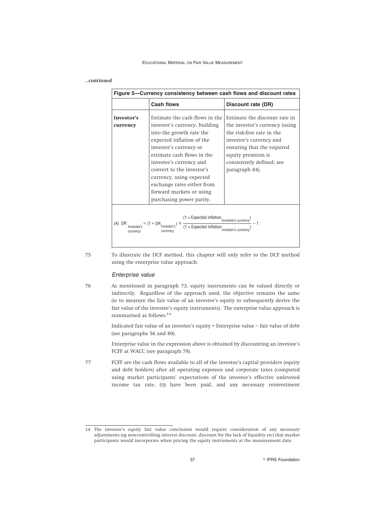### *...continued*

| Figure 5—Currency consistency between cash flows and discount rates |                                                                                                                                                                                                                                                                                                                                                            |                                                                                                                                                                                                                           |  |
|---------------------------------------------------------------------|------------------------------------------------------------------------------------------------------------------------------------------------------------------------------------------------------------------------------------------------------------------------------------------------------------------------------------------------------------|---------------------------------------------------------------------------------------------------------------------------------------------------------------------------------------------------------------------------|--|
|                                                                     | <b>Cash flows</b>                                                                                                                                                                                                                                                                                                                                          | Discount rate (DR)                                                                                                                                                                                                        |  |
| Investor's<br>currency                                              | Estimate the cash flows in the<br>investor's currency, building<br>into the growth rate the<br>expected inflation of the<br>investor's currency or<br>estimate cash flows in the<br>investee's currency and<br>convert to the investor's<br>currency, using expected<br>exchange rates either from<br>forward markets or using<br>purchasing power parity. | Estimate the discount rate in<br>the investor's currency (using<br>the risk-free rate in the<br>investor's currency and<br>ensuring that the required<br>equity premium is<br>consistently defined; see<br>paragraph 84). |  |
| (A) DR<br>currency                                                  | $(1 + \text{Expected inflation}_{\text{investee's currency}})$ - 1<br>$= (1 + DR$ Investor's $)$<br>$x \frac{1}{(1 + \text{Expected inflation})}$<br>currency                                                                                                                                                                                              | investor's currenc                                                                                                                                                                                                        |  |

75 To illustrate the DCF method, this chapter will only refer to the DCF method using the enterprise value approach.

# *Enterprise value*

76 As mentioned in paragraph 73, equity instruments can be valued directly or indirectly. Regardless of the approach used, the objective remains the same (ie to measure the fair value of an investee's equity to subsequently derive the fair value of the investee's equity instruments). The enterprise value approach is summarised as follows:<sup>14</sup>

> Indicated fair value of an investee's equity = Enterprise value – fair value of debt (see paragraphs 56 and 80).

> Enterprise value in the expression above is obtained by discounting an investee's FCFF at WACC (see paragraph 79).

77 FCFF are the cash flows available to all of the investee's capital providers (equity and debt holders) after all operating expenses and corporate taxes (computed using market participants' expectations of the investee's effective unlevered income tax rate, (t)) have been paid, and any necessary reinvestment

<sup>14</sup> The investee's equity fair value conclusion would require consideration of any necessary adjustments (eg non-controlling interest discount, discount for the lack of liquidity etc) that market participants would incorporate when pricing the equity instruments at the measurement date.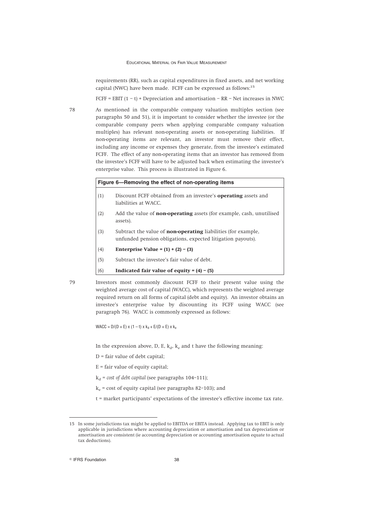requirements (RR), such as capital expenditures in fixed assets, and net working capital (NWC) have been made. FCFF can be expressed as follows:<sup>15</sup>

FCFF = EBIT  $(1 - t)$  + Depreciation and amortisation – RR – Net increases in NWC

78 As mentioned in the comparable company valuation multiples section (see paragraphs 50 and 51), it is important to consider whether the investee (or the comparable company peers when applying comparable company valuation multiples) has relevant non-operating assets or non-operating liabilities. If non-operating items are relevant, an investor must remove their effect, including any income or expenses they generate, from the investee's estimated FCFF. The effect of any non-operating items that an investor has removed from the investee's FCFF will have to be adjusted back when estimating the investee's enterprise value. This process is illustrated in Figure 6.

|     | Figure 6–Removing the effect of non-operating items                                                                                 |
|-----|-------------------------------------------------------------------------------------------------------------------------------------|
| (1) | Discount FCFF obtained from an investee's <b>operating</b> assets and<br>liabilities at WACC.                                       |
| (2) | Add the value of <b>non-operating</b> assets (for example, cash, unutilised<br>assets).                                             |
| (3) | Subtract the value of <b>non-operating</b> liabilities (for example,<br>unfunded pension obligations, expected litigation payouts). |
| (4) | Enterprise Value = $(1) + (2) - (3)$                                                                                                |
| (5) | Subtract the investee's fair value of debt.                                                                                         |
| (6) | Indicated fair value of equity = $(4)$ - $(5)$                                                                                      |
|     | Investors most commonly discount FCFF to their present value using the                                                              |

79 Investors most commonly discount FCFF to their present value using the weighted average cost of capital (WACC), which represents the weighted average required return on all forms of capital (debt and equity). An investor obtains an investee's enterprise value by discounting its FCFF using WACC (see paragraph 76). WACC is commonly expressed as follows:

 $\text{WACC} = \text{D} / (\text{D} + \text{E}) \times (1 - \text{t}) \times \text{k}_\text{d} + \text{E} / (\text{D} + \text{E}) \times \text{k}_\text{e}$ 

In the expression above, D, E,  $k_d$ ,  $k_e$  and t have the following meaning:

- $D =$  fair value of debt capital;
- $E =$  fair value of equity capital;
- $k_a$  = *cost of debt capital* (see paragraphs 104–111);
- $k_e$  = cost of equity capital (see paragraphs 82-103); and
- t = market participants' expectations of the investee's effective income tax rate.

<sup>15</sup> In some jurisdictions tax might be applied to EBITDA or EBITA instead. Applying tax to EBIT is only applicable in jurisdictions where accounting depreciation or amortisation and tax depreciation or amortisation are consistent (ie accounting depreciation or accounting amortisation equate to actual tax deductions).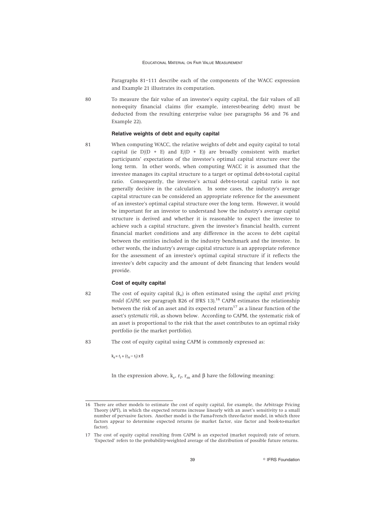Paragraphs 81–111 describe each of the components of the WACC expression and Example 21 illustrates its computation.

80 To measure the fair value of an investee's equity capital, the fair values of all non-equity financial claims (for example, interest-bearing debt) must be deducted from the resulting enterprise value (see paragraphs 56 and 76 and Example 22).

# **Relative weights of debt and equity capital**

81 When computing WACC, the relative weights of debt and equity capital to total capital (ie  $D/(D + E)$  and  $E/(D + E)$ ) are broadly consistent with market participants' expectations of the investee's optimal capital structure over the long term. In other words, when computing WACC it is assumed that the investee manages its capital structure to a target or optimal debt-to-total capital ratio. Consequently, the investee's actual debt-to-total capital ratio is not generally decisive in the calculation. In some cases, the industry's average capital structure can be considered an appropriate reference for the assessment of an investee's optimal capital structure over the long term. However, it would be important for an investor to understand how the industry's average capital structure is derived and whether it is reasonable to expect the investee to achieve such a capital structure, given the investee's financial health, current financial market conditions and any difference in the access to debt capital between the entities included in the industry benchmark and the investee. In other words, the industry's average capital structure is an appropriate reference for the assessment of an investee's optimal capital structure if it reflects the investee's debt capacity and the amount of debt financing that lenders would provide.

### **Cost of equity capital**

82 The cost of equity capital (ke) is often estimated using the *capital asset pricing model* (*CAPM*; see paragraph B26 of IFRS 13).<sup>16</sup> CAPM estimates the relationship between the risk of an asset and its expected return<sup>17</sup> as a linear function of the asset's *systematic risk*, as shown below. According to CAPM, the systematic risk of an asset is proportional to the risk that the asset contributes to an optimal risky portfolio (ie the market portfolio).

83 The cost of equity capital using CAPM is commonly expressed as:

 $k_e$  =  $r_f$  + ( $r_m$  –  $r_f$ ) x ß

In the expression above,  $k_e$ ,  $r_f$ ,  $r_m$  and β have the following meaning:

<sup>16</sup> There are other models to estimate the cost of equity capital, for example, the Arbitrage Pricing Theory (APT), in which the expected returns increase linearly with an asset's sensitivity to a small number of pervasive factors. Another model is the Fama-French three-factor model, in which three factors appear to determine expected returns (ie market factor, size factor and book-to-market factor).

<sup>17</sup> The cost of equity capital resulting from CAPM is an expected (market required) rate of return. 'Expected' refers to the probability-weighted average of the distribution of possible future returns.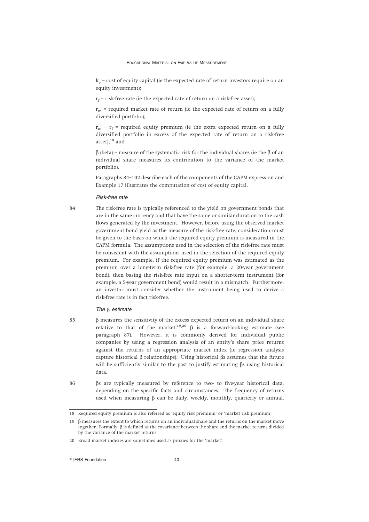$k<sub>e</sub>$  = cost of equity capital (ie the expected rate of return investors require on an equity investment);

 $r_f$  = risk-free rate (ie the expected rate of return on a risk-free asset);

 $r_m$  = required market rate of return (ie the expected rate of return on a fully diversified portfolio);

 $r_m$  –  $r_f$  = required equity premium (ie the extra expected return on a fully diversified portfolio in excess of the expected rate of return on a risk-free asset): $18$  and

 $β$  (beta) = measure of the systematic risk for the individual shares (ie the  $β$  of an individual share measures its contribution to the variance of the market portfolio).

Paragraphs 84–102 describe each of the components of the CAPM expression and Example 17 illustrates the computation of cost of equity capital.

#### *Risk-free rate*

84 The risk-free rate is typically referenced to the yield on government bonds that are in the same currency and that have the same or similar duration to the cash flows generated by the investment. However, before using the observed market government bond yield as the measure of the risk-free rate, consideration must be given to the basis on which the required equity premium is measured in the CAPM formula. The assumptions used in the selection of the risk-free rate must be consistent with the assumptions used in the selection of the required equity premium. For example, if the required equity premium was estimated as the premium over a long-term risk-free rate (for example, a 20-year government bond), then basing the risk-free rate input on a shorter-term instrument (for example, a 5-year government bond) would result in a mismatch. Furthermore, an investor must consider whether the instrument being used to derive a risk-free rate is in fact risk-free.

# *The*  $\beta$  *estimate*

- 85 β measures the sensitivity of the excess expected return on an individual share relative to that of the market.<sup>19,20</sup> β is a forward-looking estimate (see paragraph 87). However, it is commonly derived for individual public companies by using a regression analysis of an entity's share price returns against the returns of an appropriate market index (ie regression analysis capture historical β relationships). Using historical βs assumes that the future will be sufficiently similar to the past to justify estimating βs using historical data.
- 86 βs are typically measured by reference to two- to five-year historical data, depending on the specific facts and circumstances. The frequency of returns used when measuring  $β$  can be daily, weekly, monthly, quarterly or annual.

 $\degree$  IFRS Foundation  $40$ 

<sup>18</sup> Required equity premium is also referred as 'equity risk premium' or 'market risk premium'.

<sup>19</sup> β measures the extent to which returns on an individual share and the returns on the market move together. Formally, β is defined as the covariance between the share and the market returns divided by the variance of the market returns.

<sup>20</sup> Broad market indexes are sometimes used as proxies for the 'market'.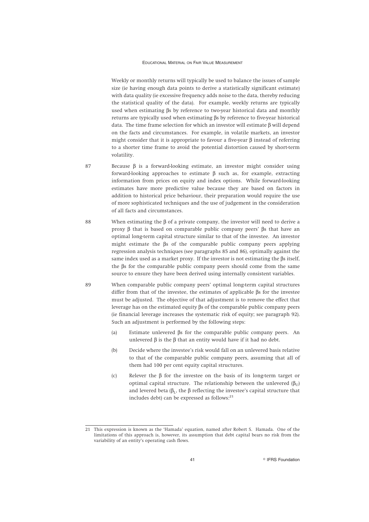Weekly or monthly returns will typically be used to balance the issues of sample size (ie having enough data points to derive a statistically significant estimate) with data quality (ie excessive frequency adds noise to the data, thereby reducing the statistical quality of the data). For example, weekly returns are typically used when estimating βs by reference to two-year historical data and monthly returns are typically used when estimating βs by reference to five-year historical data. The time frame selection for which an investor will estimate β will depend on the facts and circumstances. For example, in volatile markets, an investor might consider that it is appropriate to favour a five-year β instead of referring to a shorter time frame to avoid the potential distortion caused by short-term volatility.

- 87 Because β is a forward-looking estimate, an investor might consider using forward-looking approaches to estimate β such as, for example, extracting information from prices on equity and index options. While forward-looking estimates have more predictive value because they are based on factors in addition to historical price behaviour, their preparation would require the use of more sophisticated techniques and the use of judgement in the consideration of all facts and circumstances.
- 88 When estimating the β of a private company, the investor will need to derive a proxy β that is based on comparable public company peers' βs that have an optimal long-term capital structure similar to that of the investee. An investor might estimate the βs of the comparable public company peers applying regression analysis techniques (see paragraphs 85 and 86), optimally against the same index used as a market proxy. If the investor is not estimating the βs itself, the βs for the comparable public company peers should come from the same source to ensure they have been derived using internally consistent variables.
- 89 When comparable public company peers' optimal long-term capital structures differ from that of the investee, the estimates of applicable βs for the investee must be adjusted. The objective of that adjustment is to remove the effect that leverage has on the estimated equity βs of the comparable public company peers (ie financial leverage increases the systematic risk of equity; see paragraph 92). Such an adjustment is performed by the following steps:
	- (a) Estimate unlevered βs for the comparable public company peers. An unlevered β is the β that an entity would have if it had no debt.
	- (b) Decide where the investee's risk would fall on an unlevered basis relative to that of the comparable public company peers, assuming that all of them had 100 per cent equity capital structures.
	- (c) Relever the β for the investee on the basis of its long-term target or optimal capital structure. The relationship between the unlevered ( $β$ <sub>U</sub>) and levered beta  $(\beta_{\tau},$  the  $\beta$  reflecting the investee's capital structure that includes debt) can be expressed as follows: $21$

<sup>21</sup> This expression is known as the 'Hamada' equation, named after Robert S. Hamada. One of the limitations of this approach is, however, its assumption that debt capital bears no risk from the variability of an entity's operating cash flows.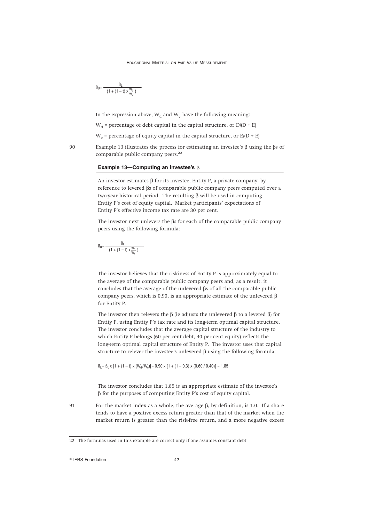$$
\displaystyle \beta_U{=}\, \frac{\beta_L}{\left(1+\left(1-t\right)\,x\,\frac{W_d}{W_e}\,\right)}
$$

In the expression above,  $W_d$  and  $W_e$  have the following meaning:

 $W_d$  = percentage of debt capital in the capital structure, or  $D/(D + E)$ 

 $W_e$  = percentage of equity capital in the capital structure, or  $E/(D + E)$ 

90 Example 13 illustrates the process for estimating an investee's  $\beta$  using the  $\beta$ s of comparable public company peers.<sup>22</sup>

# **Example 13—Computing an investee's** b

An investor estimates  $\beta$  for its investee, Entity P, a private company, by reference to levered βs of comparable public company peers computed over a two-year historical period. The resulting β will be used in computing Entity P's cost of equity capital. Market participants' expectations of Entity P's effective income tax rate are 30 per cent.

The investor next unlevers the βs for each of the comparable public company peers using the following formula:

$$
\displaystyle \beta_U \!=\! \frac{\beta_L}{\left(1+\left(1-t\right) \times \! \frac{W_d}{W_e}\right)}
$$

The investor believes that the riskiness of Entity P is approximately equal to the average of the comparable public company peers and, as a result, it concludes that the average of the unlevered βs of all the comparable public company peers, which is 0.90, is an appropriate estimate of the unlevered β for Entity P.

The investor then relevers the  $\beta$  (ie adjusts the unlevered  $\beta$  to a levered  $\beta$ ) for Entity P, using Entity P's tax rate and its long-term optimal capital structure. The investor concludes that the average capital structure of the industry to which Entity P belongs (60 per cent debt, 40 per cent equity) reflects the long-term optimal capital structure of Entity P. The investor uses that capital structure to relever the investee's unlevered β using the following formula:

 $B_1 = B_{11} \times [1 + (1 - t) \times (W_d / W_e)] = 0.90 \times [1 + (1 - 0.3) \times (0.60 / 0.40)] = 1.85$ 

The investor concludes that 1.85 is an appropriate estimate of the investee's β for the purposes of computing Entity P's cost of equity capital.

<sup>91</sup> For the market index as a whole, the average β, by definition, is 1.0. If a share tends to have a positive excess return greater than that of the market when the market return is greater than the risk-free return, and a more negative excess

<sup>22</sup> The formulas used in this example are correct only if one assumes constant debt.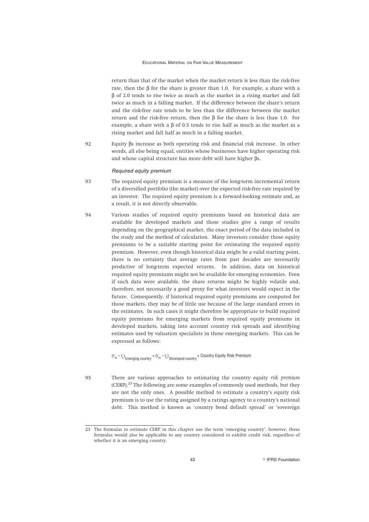return than that of the market when the market return is less than the risk-free rate, then the β for the share is greater than 1.0. For example, a share with a β of 2.0 tends to rise twice as much as the market in a rising market and fall twice as much in a falling market. If the difference between the share's return and the risk-free rate tends to be less than the difference between the market return and the risk-free return, then the β for the share is less than 1.0. For example, a share with a  $\beta$  of 0.5 tends to rise half as much as the market in a rising market and fall half as much in a falling market.

92 Equity βs increase as both operating risk and financial risk increase. In other words, all else being equal, entities whose businesses have higher operating risk and whose capital structure has more debt will have higher βs.

# *Required equity premium*

- 93 The required equity premium is a measure of the long-term incremental return of a diversified portfolio (the market) over the expected risk-free rate required by an investor. The required equity premium is a forward-looking estimate and, as a result, it is not directly observable.
- 94 Various studies of required equity premiums based on historical data are available for developed markets and those studies give a range of results depending on the geographical market, the exact period of the data included in the study and the method of calculation. Many investors consider those equity premiums to be a suitable starting point for estimating the required equity premium. However, even though historical data might be a valid starting point, there is no certainty that average rates from past decades are necessarily predictive of long-term expected returns. In addition, data on historical required equity premiums might not be available for emerging economies. Even if such data were available, the share returns might be highly volatile and, therefore, not necessarily a good proxy for what investors would expect in the future. Consequently, if historical required equity premiums are computed for those markets, they may be of little use because of the large standard errors in the estimates. In such cases it might therefore be appropriate to build required equity premiums for emerging markets from required equity premiums in developed markets, taking into account country risk spreads and identifying estimates used by valuation specialists in those emerging markets. This can be expressed as follows:

 $(r_m - r_t)_{\text{Emerning country}} = (r_m - r_t)_{\text{Devploned country}} +$  Country Equity Risk Premium

95 There are various approaches to estimating the country equity *risk premium* (CERP).<sup>23</sup> The following are some examples of commonly used methods, but they are not the only ones. A possible method to estimate a country's equity risk premium is to use the rating assigned by a ratings agency to a country's national debt. This method is known as 'country bond default spread' or 'sovereign

<sup>23</sup> The formulas to estimate CERP in this chapter use the term 'emerging country', however, these formulas would also be applicable to any country considered to exhibit credit risk, regardless of whether it is an emerging country.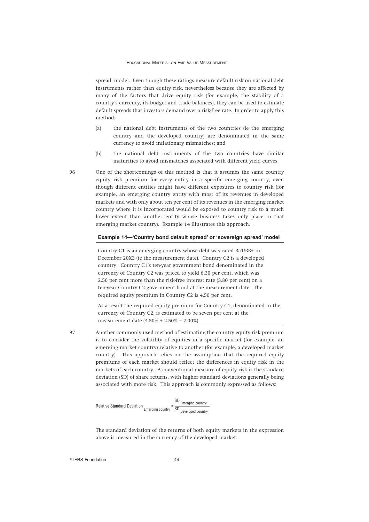spread' model. Even though these ratings measure default risk on national debt instruments rather than equity risk, nevertheless because they are affected by many of the factors that drive equity risk (for example, the stability of a country's currency, its budget and trade balances), they can be used to estimate default spreads that investors demand over a risk-free rate. In order to apply this method:

- (a) the national debt instruments of the two countries (ie the emerging country and the developed country) are denominated in the same currency to avoid inflationary mismatches; and
- (b) the national debt instruments of the two countries have similar maturities to avoid mismatches associated with different yield curves.

96 One of the shortcomings of this method is that it assumes the same country equity risk premium for every entity in a specific emerging country, even though different entities might have different exposures to country risk (for example, an emerging country entity with most of its revenues in developed markets and with only about ten per cent of its revenues in the emerging market country where it is incorporated would be exposed to country risk to a much lower extent than another entity whose business takes only place in that emerging market country). Example 14 illustrates this approach.

# **Example 14—'Country bond default spread' or 'sovereign spread' model**

Country C1 is an emerging country whose debt was rated Ba1/BB+ in December 20X3 (ie the measurement date). Country C2 is a developed country. Country C1's ten-year government bond denominated in the currency of Country C2 was priced to yield 6.30 per cent, which was 2.50 per cent more than the risk-free interest rate (3.80 per cent) on a ten-year Country C2 government bond at the measurement date. The required equity premium in Country C2 is 4.50 per cent.

As a result the required equity premium for Country C1, denominated in the currency of Country C2, is estimated to be seven per cent at the measurement date (4.50% + 2.50% = 7.00%).

97 Another commonly used method of estimating the country equity risk premium is to consider the volatility of equities in a specific market (for example, an emerging market country) relative to another (for example, a developed market country). This approach relies on the assumption that the required equity premiums of each market should reflect the differences in equity risk in the markets of each country. A conventional measure of equity risk is the standard deviation (SD) of share returns, with higher standard deviations generally being associated with more risk. This approach is commonly expressed as follows:

$$
Relative Standard Deviation \nEnergy 
$$
= \frac{\text{SD} \text{Energy} }{\text{SD} \text{B}} = \frac{\text{S}}{\text{S}} = \frac{\text{S}}{\text{S}} = \frac{\text{S}}{\text{S}} = \frac{\text{S}}{\text{S}} = \frac{\text{S}}{\text{S}} = \frac{\text{S}}{\text{S}} = \frac{\text{S}}{\text{S}} = \frac{\text{S}}{\text{S}} = \frac{\text{S}}{\text{S}} = \frac{\text{S}}{\text{S}} = \frac{\text{S}}{\text{S}} = \frac{\text{S}}{\text{S}} = \frac{\text{S}}{\text{S}} = \frac{\text{S}}{\text{S}} = \frac{\text{S}}{\text{S}} = \frac{\text{S}}{\text{S}} = \frac{\text{S}}{\text{S}} = \frac{\text{S}}{\text{S}} = \frac{\text{S}}{\text{S}} = \frac{\text{S}}{\text{S}} = \frac{\text{S}}{\text{S}} = \frac{\text{S}}{\text{S}} = \frac{\text{S}}{\text{S}} = \frac{\text{S}}{\text{S}} = \frac{\text{S}}{\text{S}} = \frac{\text{S}}{\text{S}} = \frac{\text{S}}{\text{S}} = \frac{\text{S}}{\text{S}} = \frac{\text{S}}{\text{S}} = \frac{\text{S}}{\text{S}} = \frac{\text{S}}{\text{S}} = \frac{\text{S}}{\text{S}} = \frac{\text{S}}{\text{S}} = \frac{\text{S}}{\text{S}} = \frac{\text{S}}{\text{S}} = \frac{\text{S}}{\text{S}} = \frac{\text{S}}{\text{S}} = \frac{\text{S}}{\text{S}} = \frac{\text{S}}{\text{S}} = \frac{\text{S}}{\text{S}} = \frac{\text{S}}{\text{S}} = \frac{\text{S}}{\text{S}} = \frac{\text{S}}{\text{S}} = \frac{\text{S}}{\text{S}} = \frac{\text{S}}{\text{S}} = \frac{\text{S}}{\text{S}} = \frac{\text{S}}{\text{S}} = \frac{\text{S}}{\text{S}} = \frac{\text{S}}{\text{S}} = \frac{\text{S}}{\text{S}} = \frac{\text{S}}{\text{S}} = \frac{\text{S}}{\text{S}} = \frac{\text{S}}{\text{S}} = \frac{\text{S}}{\text{S}} = \frac{\text{S}}{\text{S}} = \frac{\text
$$
$$

The standard deviation of the returns of both equity markets in the expression above is measured in the currency of the developed market.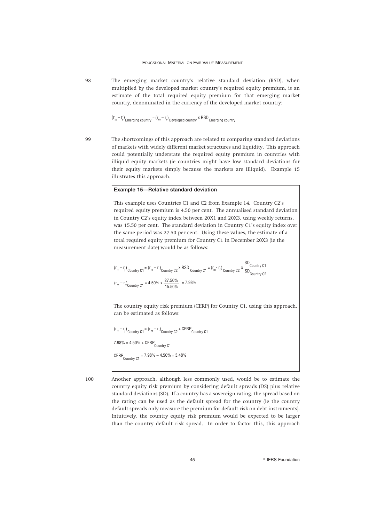98 The emerging market country's relative standard deviation (RSD), when multiplied by the developed market country's required equity premium, is an estimate of the total required equity premium for that emerging market country, denominated in the currency of the developed market country:

$$
(r_m - r_f)
$$
  
Emerging country =  $(r_m - r_f)$   
Developed country × RSD

99 The shortcomings of this approach are related to comparing standard deviations of markets with widely different market structures and liquidity. This approach could potentially understate the required equity premium in countries with illiquid equity markets (ie countries might have low standard deviations for their equity markets simply because the markets are illiquid). Example 15 illustrates this approach.

# **Example 15—Relative standard deviation**

This example uses Countries C1 and C2 from Example 14. Country C2's required equity premium is 4.50 per cent. The annualised standard deviation in Country C2's equity index between 20X1 and 20X3, using weekly returns, was 15.50 per cent. The standard deviation in Country C1's equity index over the same period was 27.50 per cent. Using these values, the estimate of a total required equity premium for Country C1 in December 20X3 (ie the measurement date) would be as follows:

$$
(r_m - r_t)_{\text{Country C1}} = (r_m - r_t)_{\text{Country C2}} \times \text{RSD}_{\text{Country C1}} = (r_m - r_t)_{\text{Country C2}} \times \frac{\text{SD}_{\text{Country C1}}}{\text{SD}_{\text{Country C2}}} \times \frac{\text{SD}_{\text{Country C2}}}{\text{VD}_{\text{Country C2}}} \times \frac{\text{SD}_{\text{Country C1}}}{\text{VD}_{\text{Country C2}}} \times \frac{\text{SD}_{\text{Country C2}}}{\text{VD}_{\text{Country C2}}} \times \frac{\text{SD}_{\text{Country C1}}}{\text{VD}_{\text{Country C2}}} \times \frac{\text{SD}_{\text{Country C2}}}{\text{VD}_{\text{Country C2}}} \times \frac{\text{SD}_{\text{Country C2}}}{\text{VD}_{\text{Country C2}}} \times \frac{\text{SD}_{\text{Country C2}}}{\text{VD}_{\text{Country C2}}} \times \frac{\text{SD}_{\text{Country C2}}}{\text{VD}_{\text{Country C2}}} \times \frac{\text{SD}_{\text{Country C2}}}{\text{VD}_{\text{Country C2}}} \times \frac{\text{SD}_{\text{Country C2}}}{\text{VD}_{\text{Country C2}}} \times \frac{\text{SD}_{\text{Country C2}}}{\text{VD}_{\text{Country C2}}} \times \frac{\text{SD}_{\text{Country C2}}}{\text{VD}_{\text{Country C2}}} \times \frac{\text{SD}_{\text{Country C2}}}{\text{VD}_{\text{Country C2}}} \times \frac{\text{SD}_{\text{Country C2}}}{\text{VD}_{\text{Country C2}}} \times \frac{\text{SD}_{\text{Country C2}}}{\text{VD}_{\text{Country C2}}} \times \frac{\text{SD}_{\text{Country C2}}}{\text{VD}_{\text{Country C2}}} \times \frac{\text{SD}_{\text{Country C2}}}{\text{VD}_{\text{Country C2}}} \times \frac{\text{SD}_{\text{Country C2}}}{\text{VD}_{\text{Country C2}}} \times \frac{\text{SD}_{\text{Country C2}}}{\text{VD}_{\text{Country C2}}} \times \frac{\text{SD}_{\text{Country C2}}}{\text{VD}_{\text{Country C2}}} \times \frac{\text{SD}_{\text{Country C2}}}{\text{VD}_{\text{Corr}} \times \frac{\text{SD}_{\text{Country C2}}}{\text{VD}_{\text{Corr}} \times \frac{\text{SD}_{\text{Country C2}}}{\text{VD}_{\text{Corr}} \times \frac{\
$$

The country equity risk premium (CERP) for Country C1, using this approach, can be estimated as follows:

 $(r_m - r_f)$ <sub>Country C1</sub> =  $(r_m - r_f)$ <sub>Country C2</sub> + CERP<sub>Country C1</sub> 7.98% = 4.50% + CERP Country C1  $CERP$ Country C1 = 7.98% – 4.50% = 3.48%

100 Another approach, although less commonly used, would be to estimate the country equity risk premium by considering default spreads (DS) plus relative standard deviations (SD). If a country has a sovereign rating, the spread based on the rating can be used as the default spread for the country (ie the country default spreads only measure the premium for default risk on debt instruments). Intuitively, the country equity risk premium would be expected to be larger than the country default risk spread. In order to factor this, this approach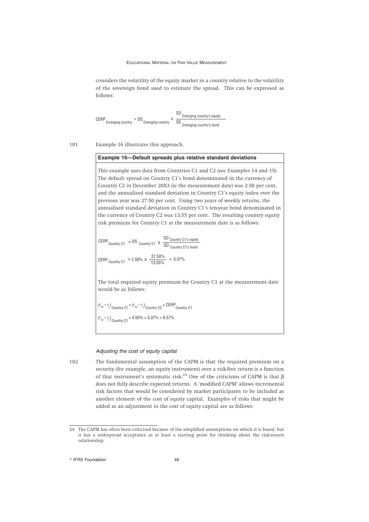considers the volatility of the equity market in a country relative to the volatility of the sovereign bond used to estimate the spread. This can be expressed as follows:

$$
CERP_{\text{Emerging country}} = DS_{\text{Emerging country}} \times \frac{SD_{\text{Emerging country's equity}}}{SD_{\text{Emerging country's bond}}}
$$

101 Example 16 illustrates this approach.

### **Example 16—Default spreads plus relative standard deviations**

This example uses data from Countries C1 and C2 (see Examples 14 and 15). The default spread on Country C1's bond denominated in the currency of Country C2 in December 20X3 (ie the measurement date) was 2.50 per cent, and the annualised standard deviation in Country C1's equity index over the previous year was 27.50 per cent. Using two years of weekly returns, the annualised standard deviation in Country C1's ten-year bond denominated in the currency of Country C2 was 13.55 per cent. The resulting country equity risk premium for Country C1 at the measurement date is as follows:

$$
CERP_{Country C1} = DS_{Country C1} \times \frac{SD_{Country C1's equity}}{SD_{Country C1's bond}}
$$
  
 
$$
CERP_{Country C1} = 2.50\% \times \frac{27.50\%}{13.55\%} = 5.07\%
$$

The total required equity premium for Country C1 at the measurement date would be as follows:

 $(r_m - r_t)$  Country C1 =  $(r_m - r_t)$  Country C2 + CERP Country C1

 $(r_m - r_f)$ <sub>Country C1</sub> = 4.50% + 5.07% = 9.57%

# *Adjusting the cost of equity capital*

102 The fundamental assumption of the CAPM is that the required premium on a security (for example, an equity instrument) over a risk-free return is a function of that instrument's systematic risk.<sup>24</sup> One of the criticisms of CAPM is that  $\beta$ does not fully describe expected returns. A 'modified CAPM' allows incremental risk factors that would be considered by market participants to be included as another element of the cost of equity capital. Examples of risks that might be added as an adjustment to the cost of equity capital are as follows:

<sup>24</sup> The CAPM has often been criticised because of the simplified assumptions on which it is based, but it has a widespread acceptance as at least a starting point for thinking about the risk-return relationship.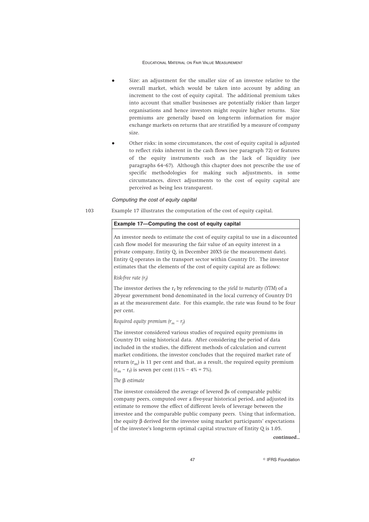- Size: an adjustment for the smaller size of an investee relative to the overall market, which would be taken into account by adding an increment to the cost of equity capital. The additional premium takes into account that smaller businesses are potentially riskier than larger organisations and hence investors might require higher returns. Size premiums are generally based on long-term information for major exchange markets on returns that are stratified by a measure of company size.
- Other risks: in some circumstances, the cost of equity capital is adjusted to reflect risks inherent in the cash flows (see paragraph 72) or features of the equity instruments such as the lack of liquidity (see paragraphs 64–67). Although this chapter does not prescribe the use of specific methodologies for making such adjustments, in some circumstances, direct adjustments to the cost of equity capital are perceived as being less transparent.

### *Computing the cost of equity capital*

103 Example 17 illustrates the computation of the cost of equity capital.

# **Example 17—Computing the cost of equity capital**

An investor needs to estimate the cost of equity capital to use in a discounted cash flow model for measuring the fair value of an equity interest in a private company, Entity Q, in December 20X5 (ie the measurement date). Entity Q operates in the transport sector within Country D1. The investor estimates that the elements of the cost of equity capital are as follows:

# *Risk-free rate (rf )*

The investor derives the  $r_f$  by referencing to the *yield to maturity* (*YTM*) of a 20-year government bond denominated in the local currency of Country D1 as at the measurement date. For this example, the rate was found to be four per cent.

*Required equity premium (rm – rf* )

The investor considered various studies of required equity premiums in Country D1 using historical data. After considering the period of data included in the studies, the different methods of calculation and current market conditions, the investor concludes that the required market rate of return  $(r_m)$  is 11 per cent and that, as a result, the required equity premium  $(r<sub>m</sub> - r<sub>f</sub>)$  is seven per cent (11% – 4% = 7%).

### The **B** estimate

The investor considered the average of levered βs of comparable public company peers, computed over a five-year historical period, and adjusted its estimate to remove the effect of different levels of leverage between the investee and the comparable public company peers. Using that information, the equity β derived for the investee using market participants' expectations of the investee's long-term optimal capital structure of Entity Q is 1.05.

*continued...*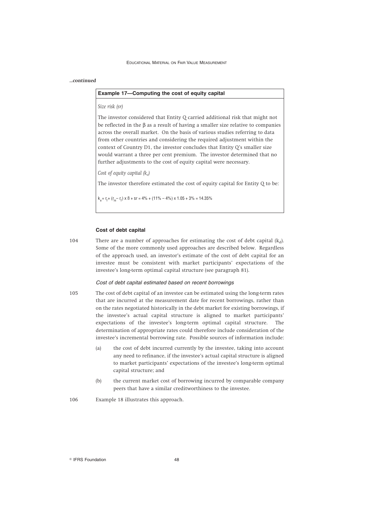### *...continued*

# **Example 17—Computing the cost of equity capital**

# *Size risk (sr)*

The investor considered that Entity Q carried additional risk that might not be reflected in the  $\beta$  as a result of having a smaller size relative to companies across the overall market. On the basis of various studies referring to data from other countries and considering the required adjustment within the context of Country D1, the investor concludes that Entity Q's smaller size would warrant a three per cent premium. The investor determined that no further adjustments to the cost of equity capital were necessary.

# *Cost of equity capital (ke)*

The investor therefore estimated the cost of equity capital for Entity Q to be:

 $k_{0} = r_{i} + (r_{m} - r_{i}) \times B + sr = 4\% + (11\% - 4\%) \times 1.05 + 3\% = 14.35\%$ 

# **Cost of debt capital**

104 There are a number of approaches for estimating the cost of debt capital  $(k_d)$ . Some of the more commonly used approaches are described below. Regardless of the approach used, an investor's estimate of the cost of debt capital for an investee must be consistent with market participants' expectations of the investee's long-term optimal capital structure (see paragraph 81).

### *Cost of debt capital estimated based on recent borrowings*

- 105 The cost of debt capital of an investee can be estimated using the long-term rates that are incurred at the measurement date for recent borrowings, rather than on the rates negotiated historically in the debt market for existing borrowings, if the investee's actual capital structure is aligned to market participants' expectations of the investee's long-term optimal capital structure. The determination of appropriate rates could therefore include consideration of the investee's incremental borrowing rate. Possible sources of information include:
	- (a) the cost of debt incurred currently by the investee, taking into account any need to refinance, if the investee's actual capital structure is aligned to market participants' expectations of the investee's long-term optimal capital structure; and
	- (b) the current market cost of borrowing incurred by comparable company peers that have a similar creditworthiness to the investee.

106 Example 18 illustrates this approach.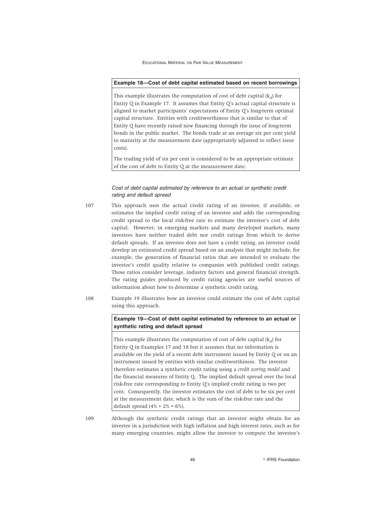# **Example 18—Cost of debt capital estimated based on recent borrowings**

This example illustrates the computation of cost of debt capital  $(k_d)$  for Entity Q in Example 17. It assumes that Entity Q's actual capital structure is aligned to market participants' expectations of Entity Q's long-term optimal capital structure. Entities with creditworthiness that is similar to that of Entity Q have recently raised new financing through the issue of long-term bonds in the public market. The bonds trade at an average six per cent yield to maturity at the measurement date (appropriately adjusted to reflect issue costs).

The trading yield of six per cent is considered to be an appropriate estimate of the cost of debt to Entity Q at the measurement date.

# *Cost of debt capital estimated by reference to an actual or synthetic credit rating and default spread*

- 107 This approach uses the actual credit rating of an investee, if available, or estimates the implied credit rating of an investee and adds the corresponding credit spread to the local risk-free rate to estimate the investee's cost of debt capital. However, in emerging markets and many developed markets, many investees have neither traded debt nor credit ratings from which to derive default spreads. If an investee does not have a credit rating, an investor could develop an estimated credit spread based on an analysis that might include, for example, the generation of financial ratios that are intended to evaluate the investee's credit quality relative to companies with published credit ratings. Those ratios consider leverage, industry factors and general financial strength. The rating guides produced by credit rating agencies are useful sources of information about how to determine a synthetic credit rating.
- 108 Example 19 illustrates how an investor could estimate the cost of debt capital using this approach.

**Example 19—Cost of debt capital estimated by reference to an actual or synthetic rating and default spread**

This example illustrates the computation of cost of debt capital  $(k_d)$  for Entity Q in Examples 17 and 18 but it assumes that no information is available on the yield of a recent debt instrument issued by Entity Q or on an instrument issued by entities with similar creditworthiness. The investor therefore estimates a synthetic credit rating using a *credit scoring model* and the financial measures of Entity Q. The implied default spread over the local risk-free rate corresponding to Entity Q's implied credit rating is two per cent. Consequently, the investor estimates the cost of debt to be six per cent at the measurement date, which is the sum of the risk-free rate and the default spread  $(4\% + 2\% = 6\%).$ 

109 Although the synthetic credit ratings that an investor might obtain for an investee in a jurisdiction with high inflation and high interest rates, such as for many emerging countries, might allow the investor to compute the investee's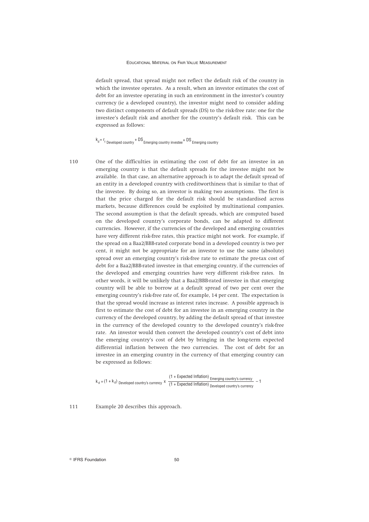default spread, that spread might not reflect the default risk of the country in which the investee operates. As a result, when an investor estimates the cost of debt for an investee operating in such an environment in the investor's country currency (ie a developed country), the investor might need to consider adding two distinct components of default spreads (DS) to the risk-free rate: one for the investee's default risk and another for the country's default risk. This can be expressed as follows:

# $k_d = r_f$  Developed country + DS Emerging country investee + DS Emerging country

110 One of the difficulties in estimating the cost of debt for an investee in an emerging country is that the default spreads for the investee might not be available. In that case, an alternative approach is to adapt the default spread of an entity in a developed country with creditworthiness that is similar to that of the investee. By doing so, an investor is making two assumptions. The first is that the price charged for the default risk should be standardised across markets, because differences could be exploited by multinational companies. The second assumption is that the default spreads, which are computed based on the developed country's corporate bonds, can be adapted to different currencies. However, if the currencies of the developed and emerging countries have very different risk-free rates, this practice might not work. For example, if the spread on a Baa2/BBB-rated corporate bond in a developed country is two per cent, it might not be appropriate for an investor to use the same (absolute) spread over an emerging country's risk-free rate to estimate the pre-tax cost of debt for a Baa2/BBB-rated investee in that emerging country, if the currencies of the developed and emerging countries have very different risk-free rates. In other words, it will be unlikely that a Baa2/BBB-rated investee in that emerging country will be able to borrow at a default spread of two per cent over the emerging country's risk-free rate of, for example, 14 per cent. The expectation is that the spread would increase as interest rates increase. A possible approach is first to estimate the cost of debt for an investee in an emerging country in the currency of the developed country, by adding the default spread of that investee in the currency of the developed country to the developed country's risk-free rate. An investor would then convert the developed country's cost of debt into the emerging country's cost of debt by bringing in the long-term expected differential inflation between the two currencies. The cost of debt for an investee in an emerging country in the currency of that emerging country can be expressed as follows:

 $k_d = (1 + k_d)$  Developed country's currency  $\bar{x} = \frac{(1 + \text{Expected Inflation})}{(1 + \text{Expected Inflation})}$   $\frac{E_{\text{merging country's currency}}}{E_{\text{Newloped country's currency}}} - 1$ 

111 Example 20 describes this approach.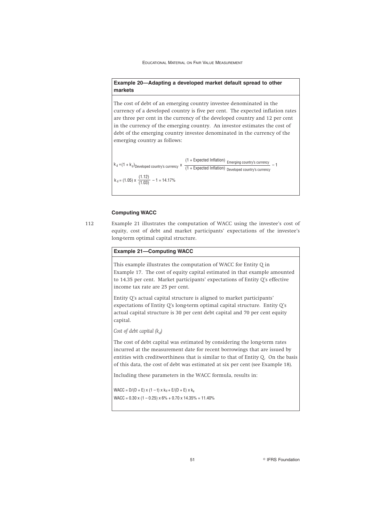**Example 20—Adapting a developed market default spread to other markets**

The cost of debt of an emerging country investee denominated in the currency of a developed country is five per cent. The expected inflation rates are three per cent in the currency of the developed country and 12 per cent in the currency of the emerging country. An investor estimates the cost of debt of the emerging country investee denominated in the currency of the emerging country as follows:

 $k_d = (1.05) \times \frac{(1.12)}{(1.03)} - 1 = 14.17\%$ (1.03)  $k_d = (1 + k_d)$  Developed country's currency  $\frac{1 + 2k_d}{1 + 2k_d} = \frac{1}{2k_d}$  Emerging country's currency  $\frac{1}{2}$  - 1  $(1 +$  Expected Inflation) Emerging country's currency  $-1$ 

# **Computing WACC**

112 Example 21 illustrates the computation of WACC using the investee's cost of equity, cost of debt and market participants' expectations of the investee's long-term optimal capital structure.

# **Example 21—Computing WACC**

This example illustrates the computation of WACC for Entity Q in Example 17. The cost of equity capital estimated in that example amounted to 14.35 per cent. Market participants' expectations of Entity Q's effective income tax rate are 25 per cent.

Entity Q's actual capital structure is aligned to market participants' expectations of Entity Q's long-term optimal capital structure. Entity Q's actual capital structure is 30 per cent debt capital and 70 per cent equity capital.

*Cost of debt capital (k<sub>d</sub>)* 

The cost of debt capital was estimated by considering the long-term rates incurred at the measurement date for recent borrowings that are issued by entities with creditworthiness that is similar to that of Entity Q. On the basis of this data, the cost of debt was estimated at six per cent (see Example 18).

Including these parameters in the WACC formula, results in:

 $WACC = D/(D + E) \times (1 - t) \times k_d + E/(D + E) \times k_e$  $WACC = 0.30 \times (1 - 0.25) \times 6\% + 0.70 \times 14.35\% = 11.40\%$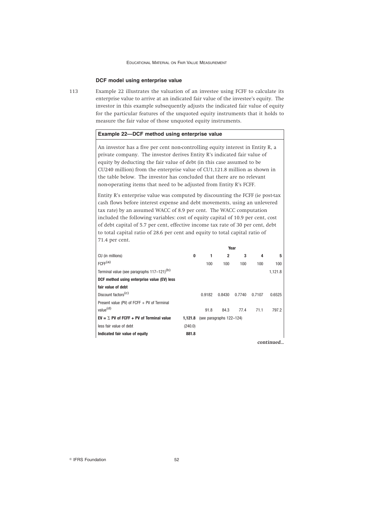# **DCF model using enterprise value**

113 Example 22 illustrates the valuation of an investee using FCFF to calculate its enterprise value to arrive at an indicated fair value of the investee's equity. The investor in this example subsequently adjusts the indicated fair value of equity for the particular features of the unquoted equity instruments that it holds to measure the fair value of those unquoted equity instruments.

# **Example 22—DCF method using enterprise value**

An investor has a five per cent non-controlling equity interest in Entity R, a private company. The investor derives Entity R's indicated fair value of equity by deducting the fair value of debt (in this case assumed to be CU240 million) from the enterprise value of CU1,121.8 million as shown in the table below. The investor has concluded that there are no relevant non-operating items that need to be adjusted from Entity R's FCFF.

Entity R's enterprise value was computed by discounting the FCFF (ie post-tax cash flows before interest expense and debt movements, using an unlevered tax rate) by an assumed WACC of 8.9 per cent. The WACC computation included the following variables: cost of equity capital of 10.9 per cent, cost of debt capital of 5.7 per cent, effective income tax rate of 30 per cent, debt to total capital ratio of 28.6 per cent and equity to total capital ratio of 71.4 per cent.

|                                                        |         |        | Year                     |        |        |           |
|--------------------------------------------------------|---------|--------|--------------------------|--------|--------|-----------|
| CU (in millions)                                       | 0       |        | $\overline{2}$           | 3      | 4      | 5         |
| FCFF <sup>(a)</sup>                                    |         | 100    | 100                      | 100    | 100    | 100       |
| Terminal value (see paragraphs 117-121) <sup>(b)</sup> |         |        |                          |        |        | 1,121.8   |
| DCF method using enterprise value (EV) less            |         |        |                          |        |        |           |
| fair value of debt                                     |         |        |                          |        |        |           |
| Discount factors <sup>(c)</sup>                        |         | 0.9182 | 0.8430                   | 0.7740 | 0.7107 | 0.6525    |
| Present value (PV) of $FCFF + PV$ of Terminal          |         |        |                          |        |        |           |
| value <sup>(d)</sup>                                   |         | 91.8   | 84.3                     | 77.4   | 71.1   | 797.2     |
| $EV = \sum PV$ of FCFF + PV of Terminal value          | 1.121.8 |        | (see paragraphs 122-124) |        |        |           |
| less fair value of debt                                | (240.0) |        |                          |        |        |           |
| Indicated fair value of equity                         | 881.8   |        |                          |        |        |           |
|                                                        |         |        |                          |        |        | continued |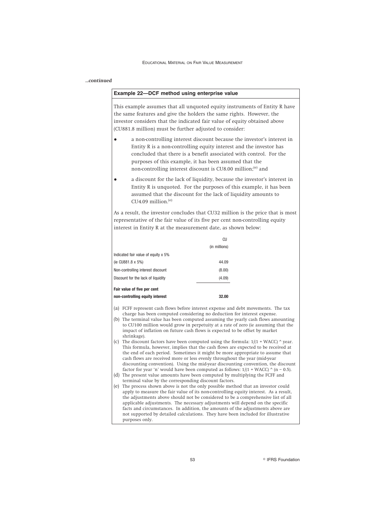# *...continued*

### **Example 22—DCF method using enterprise value**

This example assumes that all unquoted equity instruments of Entity R have the same features and give the holders the same rights. However, the investor considers that the indicated fair value of equity obtained above (CU881.8 million) must be further adjusted to consider:

- a non-controlling interest discount because the investor's interest in Entity R is a non-controlling equity interest and the investor has concluded that there is a benefit associated with control. For the purposes of this example, it has been assumed that the non-controlling interest discount is CU8.00 million;<sup>(e)</sup> and
- a discount for the lack of liquidity, because the investor's interest in Entity R is unquoted. For the purposes of this example, it has been assumed that the discount for the lack of liquidity amounts to CU4.09 million. $(e)$

As a result, the investor concludes that CU32 million is the price that is most representative of the fair value of its five per cent non-controlling equity interest in Entity R at the measurement date, as shown below:

|                                     | CU            |
|-------------------------------------|---------------|
|                                     | (in millions) |
| Indicated fair value of equity x 5% |               |
| (ie CU881.8 x 5%)                   | 44.09         |
| Non-controlling interest discount   | (8.00)        |
| Discount for the lack of liquidity  | (4.09)        |
| Fair value of five per cent         |               |
| non-controllina eauitv interest     | 32.00         |

- (a) FCFF represent cash flows before interest expense and debt movements. The tax charge has been computed considering no deduction for interest expense.
- (b) The terminal value has been computed assuming the yearly cash flows amounting to CU100 million would grow in perpetuity at a rate of zero (ie assuming that the impact of inflation on future cash flows is expected to be offset by market shrinkage).
- (c) The discount factors have been computed using the formula:  $1/(1 + WACC)^{\wedge}$  year. This formula, however, implies that the cash flows are expected to be received at the end of each period. Sometimes it might be more appropriate to assume that cash flows are received more or less evenly throughout the year (mid-year discounting convention). Using the mid-year discounting convention, the discount factor for year 'n' would have been computed as follows:  $1/(1 + WACC)$   $\wedge$  (n - 0.5). (d) The present value amounts have been computed by multiplying the FCFF and
- terminal value by the corresponding discount factors.
- (e) The process shown above is not the only possible method that an investor could apply to measure the fair value of its non-controlling equity interest. As a result, the adjustments above should not be considered to be a comprehensive list of all applicable adjustments. The necessary adjustments will depend on the specific facts and circumstances. In addition, the amounts of the adjustments above are not supported by detailed calculations. They have been included for illustrative purposes only.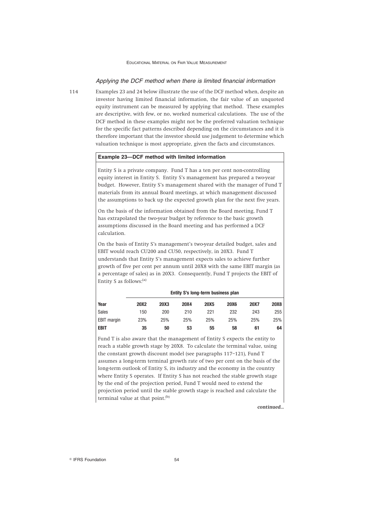# *Applying the DCF method when there is limited financial information*

114 Examples 23 and 24 below illustrate the use of the DCF method when, despite an investor having limited financial information, the fair value of an unquoted equity instrument can be measured by applying that method. These examples are descriptive, with few, or no, worked numerical calculations. The use of the DCF method in these examples might not be the preferred valuation technique for the specific fact patterns described depending on the circumstances and it is therefore important that the investor should use judgement to determine which valuation technique is most appropriate, given the facts and circumstances.

# **Example 23—DCF method with limited information**

Entity S is a private company. Fund T has a ten per cent non-controlling equity interest in Entity S. Entity S's management has prepared a two-year budget. However, Entity S's management shared with the manager of Fund T materials from its annual Board meetings, at which management discussed the assumptions to back up the expected growth plan for the next five years.

On the basis of the information obtained from the Board meeting, Fund T has extrapolated the two-year budget by reference to the basic growth assumptions discussed in the Board meeting and has performed a DCF calculation.

On the basis of Entity S's management's two-year detailed budget, sales and EBIT would reach CU200 and CU50, respectively, in 20X3. Fund T understands that Entity S's management expects sales to achieve further growth of five per cent per annum until 20X8 with the same EBIT margin (as a percentage of sales) as in 20X3. Consequently, Fund T projects the EBIT of Entity S as follows:(a)

|                    | LIIULY 3 5 IVIIY-LUIIII DUSIIIUSS PIAII |             |      |             |             |             |             |
|--------------------|-----------------------------------------|-------------|------|-------------|-------------|-------------|-------------|
| Year               | <b>20X2</b>                             | <b>20X3</b> | 20X4 | <b>20X5</b> | <b>20X6</b> | <b>20X7</b> | <b>20X8</b> |
| Sales              | 150                                     | 200         | 210  | 221         | 232         | 243         | 255         |
| <b>EBIT</b> margin | 23%                                     | 25%         | 25%  | 25%         | 25%         | 25%         | 25%         |
| EBIT               | 35                                      | 50          | 53   | 55          | 58          | 61          | 64          |

**Entity S's long-term business plan**

Fund T is also aware that the management of Entity S expects the entity to reach a stable growth stage by 20X8. To calculate the terminal value, using the constant growth discount model (see paragraphs 117–121), Fund T assumes a long-term terminal growth rate of two per cent on the basis of the long-term outlook of Entity S, its industry and the economy in the country where Entity S operates. If Entity S has not reached the stable growth stage by the end of the projection period, Fund T would need to extend the projection period until the stable growth stage is reached and calculate the terminal value at that point.<sup>(b)</sup>

*continued...*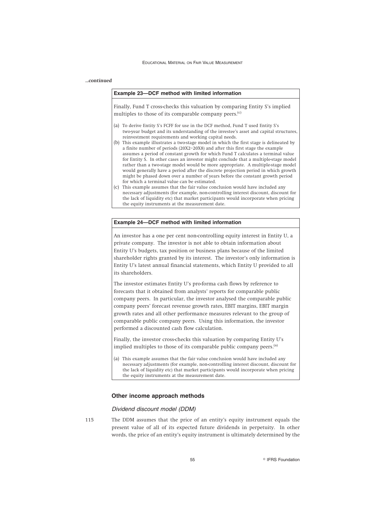### *...continued*

#### **Example 23—DCF method with limited information**

Finally, Fund T cross-checks this valuation by comparing Entity S's implied multiples to those of its comparable company peers.<sup>(c)</sup>

- (a) To derive Entity S's FCFF for use in the DCF method, Fund T used Entity S's two-year budget and its understanding of the investee's asset and capital structures, reinvestment requirements and working capital needs.
- (b) This example illustrates a two-stage model in which the first stage is delineated by a finite number of periods (20X2–20X8) and after this first stage the example assumes a period of constant growth for which Fund T calculates a terminal value for Entity S. In other cases an investor might conclude that a multiple-stage model rather than a two-stage model would be more appropriate. A multiple-stage model would generally have a period after the discrete projection period in which growth might be phased down over a number of years before the constant growth period for which a terminal value can be estimated.
- (c) This example assumes that the fair value conclusion would have included any necessary adjustments (for example, non-controlling interest discount, discount for the lack of liquidity etc) that market participants would incorporate when pricing the equity instruments at the measurement date.

### **Example 24—DCF method with limited information**

An investor has a one per cent non-controlling equity interest in Entity U, a private company. The investor is not able to obtain information about Entity U's budgets, tax position or business plans because of the limited shareholder rights granted by its interest. The investor's only information is Entity U's latest annual financial statements, which Entity U provided to all its shareholders.

The investor estimates Entity U's pro-forma cash flows by reference to forecasts that it obtained from analysts' reports for comparable public company peers. In particular, the investor analysed the comparable public company peers' forecast revenue growth rates, EBIT margins, EBIT margin growth rates and all other performance measures relevant to the group of comparable public company peers. Using this information, the investor performed a discounted cash flow calculation.

Finally, the investor cross-checks this valuation by comparing Entity U's implied multiples to those of its comparable public company peers.<sup>(a)</sup>

(a) This example assumes that the fair value conclusion would have included any necessary adjustments (for example, non-controlling interest discount, discount for the lack of liquidity etc) that market participants would incorporate when pricing the equity instruments at the measurement date.

# **Other income approach methods**

### *Dividend discount model (DDM)*

115 The DDM assumes that the price of an entity's equity instrument equals the present value of all of its expected future dividends in perpetuity. In other words, the price of an entity's equity instrument is ultimately determined by the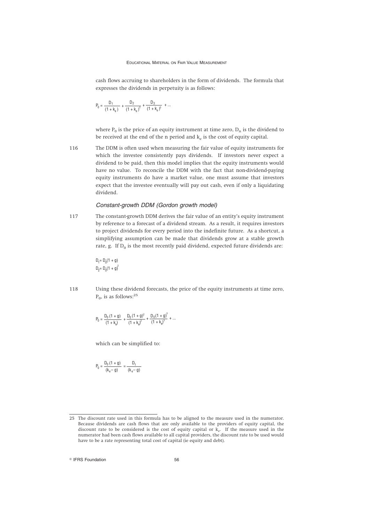cash flows accruing to shareholders in the form of dividends. The formula that expresses the dividends in perpetuity is as follows:

$$
P_0 = \frac{D_1}{\left(1+k_e\right)} \, + \frac{D_2}{\left(1+k_e\right)^2} \, + \frac{D_3}{\left(1+k_e\right)^3} \, + \ldots
$$

where  $P_0$  is the price of an equity instrument at time zero,  $D_n$  is the dividend to be received at the end of the n period and  $k_e$  is the cost of equity capital.

116 The DDM is often used when measuring the fair value of equity instruments for which the investee consistently pays dividends. If investors never expect a dividend to be paid, then this model implies that the equity instruments would have no value. To reconcile the DDM with the fact that non-dividend-paying equity instruments do have a market value, one must assume that investors expect that the investee eventually will pay out cash, even if only a liquidating dividend.

### *Constant-growth DDM (Gordon growth model)*

117 The constant-growth DDM derives the fair value of an entity's equity instrument by reference to a forecast of a dividend stream. As a result, it requires investors to project dividends for every period into the indefinite future. As a shortcut, a simplifying assumption can be made that dividends grow at a stable growth rate, g. If  $D_0$  is the most recently paid dividend, expected future dividends are:

$$
D_1 = D_0(1 + g)
$$
  

$$
D_2 = D_0(1 + g)^2
$$

118 Using these dividend forecasts, the price of the equity instruments at time zero,  $P_0$ , is as follows:<sup>25</sup>

$$
P_0 = \frac{D_0 (1+g)}{(1+k_0)} + \frac{D_0 (1+g)^2}{(1+k_0)^2} + \frac{D_0 (1+g)^3}{(1+k_0)^3} + \dots
$$

which can be simplified to:

$$
P_0 = \frac{D_0 (1 + g)}{(k_e - g)} = \frac{D_1}{(k_e - g)}
$$

<sup>25</sup> The discount rate used in this formula has to be aligned to the measure used in the numerator. Because dividends are cash flows that are only available to the providers of equity capital, the discount rate to be considered is the cost of equity capital or  $\hat{k}_e$ . If the measure used in the numerator had been cash flows available to all capital providers, the discount rate to be used would have to be a rate representing total cost of capital (ie equity and debt).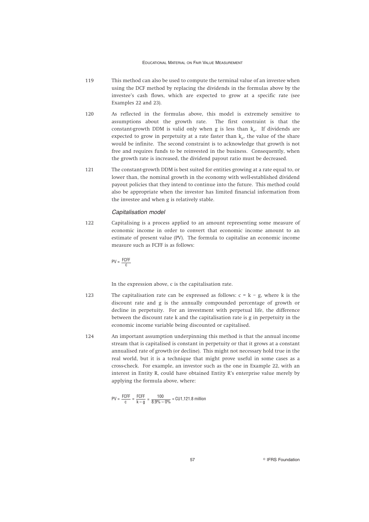- 119 This method can also be used to compute the terminal value of an investee when using the DCF method by replacing the dividends in the formulas above by the investee's cash flows, which are expected to grow at a specific rate (see Examples 22 and 23).
- 120 As reflected in the formulas above, this model is extremely sensitive to assumptions about the growth rate. The first constraint is that the constant-growth DDM is valid only when g is less than  $k_e$ . If dividends are expected to grow in perpetuity at a rate faster than  $k_e$ , the value of the share would be infinite. The second constraint is to acknowledge that growth is not free and requires funds to be reinvested in the business. Consequently, when the growth rate is increased, the dividend payout ratio must be decreased.
- 121 The constant-growth DDM is best suited for entities growing at a rate equal to, or lower than, the nominal growth in the economy with well-established dividend payout policies that they intend to continue into the future. This method could also be appropriate when the investor has limited financial information from the investee and when g is relatively stable.

### *Capitalisation model*

122 Capitalising is a process applied to an amount representing some measure of economic income in order to convert that economic income amount to an estimate of present value (PV). The formula to capitalise an economic income measure such as FCFF is as follows:

$$
PV = \frac{FCFF}{c}
$$

In the expression above, c is the capitalisation rate.

- 123 The capitalisation rate can be expressed as follows:  $c = k g$ , where k is the discount rate and g is the annually compounded percentage of growth or decline in perpetuity. For an investment with perpetual life, the difference between the discount rate k and the capitalisation rate is g in perpetuity in the economic income variable being discounted or capitalised.
- 124 An important assumption underpinning this method is that the annual income stream that is capitalised is constant in perpetuity or that it grows at a constant annualised rate of growth (or decline). This might not necessary hold true in the real world, but it is a technique that might prove useful in some cases as a cross-check. For example, an investor such as the one in Example 22, with an interest in Entity R, could have obtained Entity R's enterprise value merely by applying the formula above, where:

$$
PV = \frac{FCFF}{c} = \frac{FCFF}{k - g} = \frac{100}{8.9\% - 0\%} = CU1,121.8 \text{ million}
$$

57 **Constanting Construction Construction Construction Construction**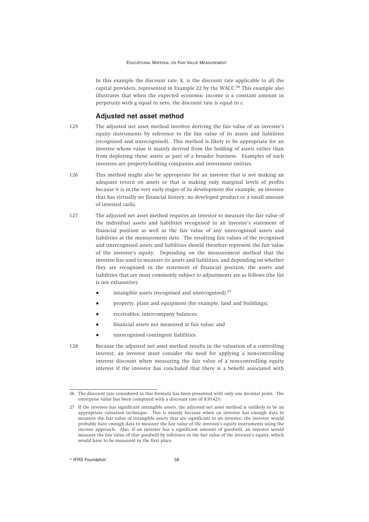In this example the discount rate, k, is the discount rate applicable to all the capital providers, represented in Example 22 by the WACC.<sup>26</sup> This example also illustrates that when the expected economic income is a constant amount in perpetuity with g equal to zero, the discount rate is equal to c.

# **Adjusted net asset method**

- 125 The adjusted net asset method involves deriving the fair value of an investee's equity instruments by reference to the fair value of its assets and liabilities (recognised and unrecognised). This method is likely to be appropriate for an investee whose value is mainly derived from the holding of assets rather than from deploying those assets as part of a broader business. Examples of such investees are property-holding companies and investment entities.
- 126 This method might also be appropriate for an investee that is not making an adequate return on assets or that is making only marginal levels of profits because it is in the very early stages of its development (for example, an investee that has virtually no financial history, no developed product or a small amount of invested cash).
- 127 The adjusted net asset method requires an investor to measure the fair value of the individual assets and liabilities recognised in an investee's statement of financial position as well as the fair value of any unrecognised assets and liabilities at the measurement date. The resulting fair values of the recognised and unrecognised assets and liabilities should therefore represent the fair value of the investee's equity. Depending on the measurement method that the investee has used to measure its assets and liabilities, and depending on whether they are recognised in the statement of financial position, the assets and liabilities that are most commonly subject to adjustments are as follows (the list is not exhaustive):
	- intangible assets (recognised and unrecognised); $^{27}$
	- property, plant and equipment (for example, land and buildings);
	- receivables, intercompany balances;
	- financial assets not measured at fair value; and
	- unrecognised contingent liabilities.
- 128 Because the adjusted net asset method results in the valuation of a controlling interest, an investor must consider the need for applying a non-controlling interest discount when measuring the fair value of a non-controlling equity interest if the investor has concluded that there is a benefit associated with

<sup>26</sup> The discount rate considered in this formula has been presented with only one decimal point. The enterprise value has been computed with a discount rate of 8.9142%.

<sup>27</sup> If the investee has significant intangible assets, the adjusted net asset method is unlikely to be an appropriate valuation technique. This is mainly because when an investor has enough data to measure the fair value of intangible assets that are significant to an investee, the investor would probably have enough data to measure the fair value of the investee's equity instruments using the income approach. Also, if an investee has a significant amount of goodwill, an investor would measure the fair value of that goodwill by reference to the fair value of the investee's equity, which would have to be measured in the first place.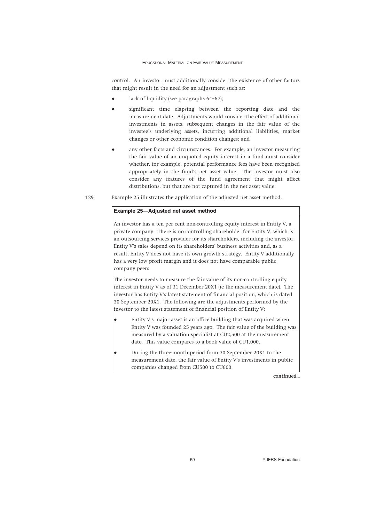control. An investor must additionally consider the existence of other factors that might result in the need for an adjustment such as:

- lack of liquidity (see paragraphs 64-67);
- significant time elapsing between the reporting date and the measurement date. Adjustments would consider the effect of additional investments in assets, subsequent changes in the fair value of the investee's underlying assets, incurring additional liabilities, market changes or other economic condition changes; and
- any other facts and circumstances. For example, an investor measuring the fair value of an unquoted equity interest in a fund must consider whether, for example, potential performance fees have been recognised appropriately in the fund's net asset value. The investor must also consider any features of the fund agreement that might affect distributions, but that are not captured in the net asset value.
- 129 Example 25 illustrates the application of the adjusted net asset method.

# **Example 25—Adjusted net asset method**

An investor has a ten per cent non-controlling equity interest in Entity V, a private company. There is no controlling shareholder for Entity V, which is an outsourcing services provider for its shareholders, including the investor. Entity V's sales depend on its shareholders' business activities and, as a result, Entity V does not have its own growth strategy. Entity V additionally has a very low profit margin and it does not have comparable public company peers.

The investor needs to measure the fair value of its non-controlling equity interest in Entity V as of 31 December 20X1 (ie the measurement date). The investor has Entity V's latest statement of financial position, which is dated 30 September 20X1. The following are the adjustments performed by the investor to the latest statement of financial position of Entity V:

- Entity V's major asset is an office building that was acquired when Entity V was founded 25 years ago. The fair value of the building was measured by a valuation specialist at CU2,500 at the measurement date. This value compares to a book value of CU1,000.
- During the three-month period from 30 September 20X1 to the measurement date, the fair value of Entity V's investments in public companies changed from CU500 to CU600.

*continued...*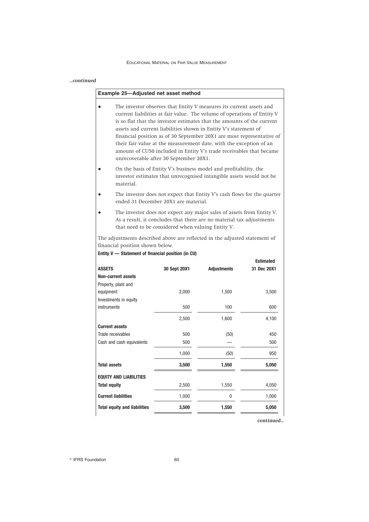#### *...continued*

# **Example 25—Adjusted net asset method**

- The investor observes that Entity V measures its current assets and current liabilities at fair value. The volume of operations of Entity V is so flat that the investor estimates that the amounts of the current assets and current liabilities shown in Entity V's statement of financial position as of 30 September 20X1 are most representative of their fair value at the measurement date, with the exception of an amount of CU50 included in Entity V's trade receivables that became unrecoverable after 30 September 20X1.
- On the basis of Entity V's business model and profitability, the investor estimates that unrecognised intangible assets would not be material.
- The investor does not expect that Entity V's cash flows for the quarter ended 31 December 20X1 are material.
- The investor does not expect any major sales of assets from Entity V. As a result, it concludes that there are no material tax adjustments that need to be considered when valuing Entity V.

The adjustments described above are reflected in the adjusted statement of financial position shown below.

**Entity V — Statement of financial position (in CU)**

|                                     |              |                    | <b>Estimated</b> |
|-------------------------------------|--------------|--------------------|------------------|
| <b>ASSETS</b>                       | 30 Sept 20X1 | <b>Adjustments</b> | 31 Dec 20X1      |
| <b>Non-current assets</b>           |              |                    |                  |
| Property, plant and                 |              |                    |                  |
| equipment                           | 2,000        | 1,500              | 3,500            |
| Investments in equity               |              |                    |                  |
| instruments                         | 500          | 100                | 600              |
|                                     | 2,500        | 1,600              | 4,100            |
| <b>Current assets</b>               |              |                    |                  |
| Trade receivables                   | 500          | (50)               | 450              |
| Cash and cash equivalents           | 500          |                    | 500              |
|                                     | 1,000        | (50)               | 950              |
| <b>Total assets</b>                 | 3,500        | 1,550              | 5,050            |
| <b>EQUITY AND LIABILITIES</b>       |              |                    |                  |
| <b>Total equity</b>                 | 2,500        | 1,550              | 4,050            |
| <b>Current liabilities</b>          | 1,000        | 0                  | 1,000            |
| <b>Total equity and liabilities</b> | 3,500        | 1,550              | 5,050            |
|                                     |              |                    |                  |

*continued...*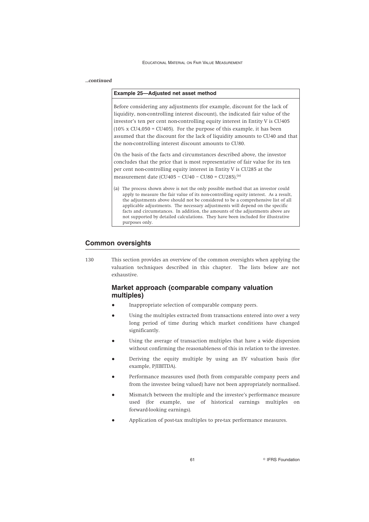# *...continued*

# **Example 25—Adjusted net asset method**

Before considering any adjustments (for example, discount for the lack of liquidity, non-controlling interest discount), the indicated fair value of the investor's ten per cent non-controlling equity interest in Entity V is CU405 (10% x CU4,050 = CU405). For the purpose of this example, it has been assumed that the discount for the lack of liquidity amounts to CU40 and that the non-controlling interest discount amounts to CU80.

On the basis of the facts and circumstances described above, the investor concludes that the price that is most representative of fair value for its ten per cent non-controlling equity interest in Entity V is CU285 at the measurement date (CU405 – CU40 – CU80 = CU285).<sup>(a)</sup>

(a) The process shown above is not the only possible method that an investor could apply to measure the fair value of its non-controlling equity interest. As a result, the adjustments above should not be considered to be a comprehensive list of all applicable adjustments. The necessary adjustments will depend on the specific facts and circumstances. In addition, the amounts of the adjustments above are not supported by detailed calculations. They have been included for illustrative purposes only.

# **Common oversights**

130 This section provides an overview of the common oversights when applying the valuation techniques described in this chapter. The lists below are not exhaustive.

# **Market approach (comparable company valuation multiples)**

- Inappropriate selection of comparable company peers.
- Using the multiples extracted from transactions entered into over a very long period of time during which market conditions have changed significantly.
- Using the average of transaction multiples that have a wide dispersion without confirming the reasonableness of this in relation to the investee.
- Deriving the equity multiple by using an EV valuation basis (for example, P/EBITDA).
- Performance measures used (both from comparable company peers and from the investee being valued) have not been appropriately normalised.
- Mismatch between the multiple and the investee's performance measure used (for example, use of historical earnings multiples on forward-looking earnings).
- Application of post-tax multiples to pre-tax performance measures.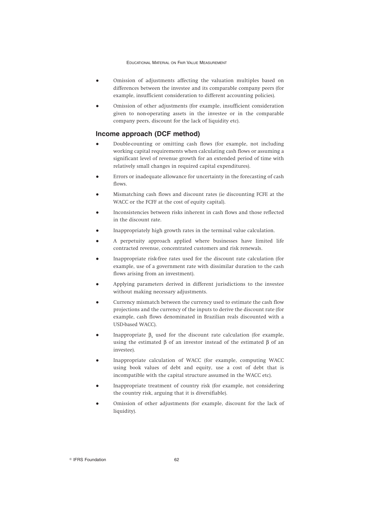- Omission of adjustments affecting the valuation multiples based on differences between the investee and its comparable company peers (for example, insufficient consideration to different accounting policies).
- Omission of other adjustments (for example, insufficient consideration given to non-operating assets in the investee or in the comparable company peers, discount for the lack of liquidity etc).

# **Income approach (DCF method)**

- Double-counting or omitting cash flows (for example, not including working capital requirements when calculating cash flows or assuming a significant level of revenue growth for an extended period of time with relatively small changes in required capital expenditures).
- Errors or inadequate allowance for uncertainty in the forecasting of cash flows.
- Mismatching cash flows and discount rates (ie discounting FCFE at the WACC or the FCFF at the cost of equity capital).
- Inconsistencies between risks inherent in cash flows and those reflected in the discount rate.
- Inappropriately high growth rates in the terminal value calculation.
- A perpetuity approach applied where businesses have limited life contracted revenue, concentrated customers and risk renewals.
- Inappropriate risk-free rates used for the discount rate calculation (for example, use of a government rate with dissimilar duration to the cash flows arising from an investment).
- Applying parameters derived in different jurisdictions to the investee without making necessary adjustments.
- Currency mismatch between the currency used to estimate the cash flow projections and the currency of the inputs to derive the discount rate (for example, cash flows denominated in Brazilian reals discounted with a USD-based WACC).
- Inappropriate  $β_5$  used for the discount rate calculation (for example, using the estimated β of an investor instead of the estimated β of an investee).
- Inappropriate calculation of WACC (for example, computing WACC using book values of debt and equity, use a cost of debt that is incompatible with the capital structure assumed in the WACC etc).
- Inappropriate treatment of country risk (for example, not considering the country risk, arguing that it is diversifiable).
- Omission of other adjustments (for example, discount for the lack of liquidity).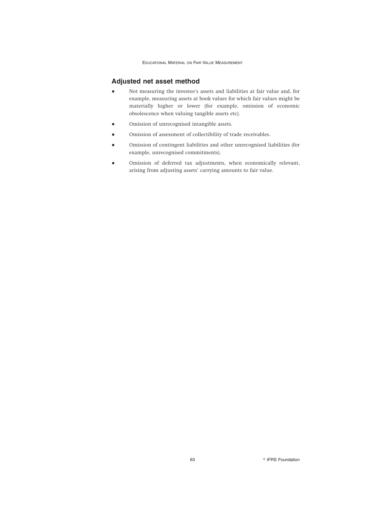# **Adjusted net asset method**

- Not measuring the investee's assets and liabilities at fair value and, for example, measuring assets at book values for which fair values might be materially higher or lower (for example, omission of economic obsolescence when valuing tangible assets etc).
- Omission of unrecognised intangible assets.
- Omission of assessment of collectibility of trade receivables.
- Omission of contingent liabilities and other unrecognised liabilities (for example, unrecognised commitments).
- Omission of deferred tax adjustments, when economically relevant, arising from adjusting assets' carrying amounts to fair value.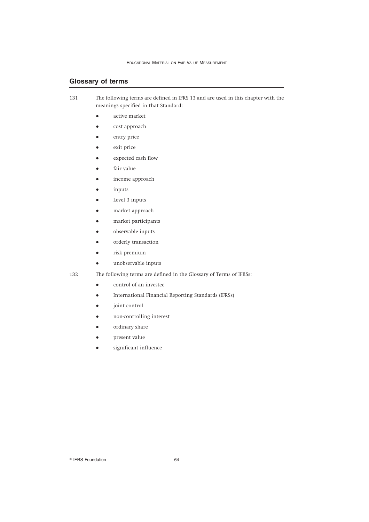# **Glossary of terms**

- 131 The following terms are defined in IFRS 13 and are used in this chapter with the meanings specified in that Standard:
	- active market
	- cost approach
	- entry price
	- exit price
	- expected cash flow
	- fair value
	- income approach
	- inputs
	- Level 3 inputs
	- market approach
	- market participants
	- observable inputs
	- orderly transaction
	- risk premium
	- unobservable inputs

- 132 The following terms are defined in the Glossary of Terms of IFRSs:
	- control of an investee
	- International Financial Reporting Standards (IFRSs)
	- joint control
	- non-controlling interest
	- ordinary share
	- present value
	- significant influence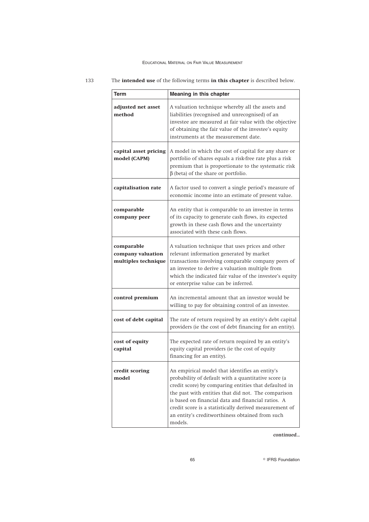| <b>Term</b>                                            | Meaning in this chapter                                                                                                                                                                                                                                                                                                                                                                             |
|--------------------------------------------------------|-----------------------------------------------------------------------------------------------------------------------------------------------------------------------------------------------------------------------------------------------------------------------------------------------------------------------------------------------------------------------------------------------------|
| adjusted net asset<br>method                           | A valuation technique whereby all the assets and<br>liabilities (recognised and unrecognised) of an<br>investee are measured at fair value with the objective<br>of obtaining the fair value of the investee's equity<br>instruments at the measurement date.                                                                                                                                       |
| capital asset pricing<br>model (CAPM)                  | A model in which the cost of capital for any share or<br>portfolio of shares equals a risk-free rate plus a risk<br>premium that is proportionate to the systematic risk<br>$\beta$ (beta) of the share or portfolio.                                                                                                                                                                               |
| capitalisation rate                                    | A factor used to convert a single period's measure of<br>economic income into an estimate of present value.                                                                                                                                                                                                                                                                                         |
| comparable<br>company peer                             | An entity that is comparable to an investee in terms<br>of its capacity to generate cash flows, its expected<br>growth in these cash flows and the uncertainty<br>associated with these cash flows.                                                                                                                                                                                                 |
| comparable<br>company valuation<br>multiples technique | A valuation technique that uses prices and other<br>relevant information generated by market<br>transactions involving comparable company peers of<br>an investee to derive a valuation multiple from<br>which the indicated fair value of the investee's equity<br>or enterprise value can be inferred.                                                                                            |
| control premium                                        | An incremental amount that an investor would be<br>willing to pay for obtaining control of an investee.                                                                                                                                                                                                                                                                                             |
| cost of debt capital                                   | The rate of return required by an entity's debt capital<br>providers (ie the cost of debt financing for an entity).                                                                                                                                                                                                                                                                                 |
| cost of equity<br>capital                              | The expected rate of return required by an entity's<br>equity capital providers (ie the cost of equity<br>financing for an entity).                                                                                                                                                                                                                                                                 |
| credit scoring<br>model                                | An empirical model that identifies an entity's<br>probability of default with a quantitative score (a<br>credit score) by comparing entities that defaulted in<br>the past with entities that did not. The comparison<br>is based on financial data and financial ratios. A<br>credit score is a statistically derived measurement of<br>an entity's creditworthiness obtained from such<br>models. |

# 133 The **intended use** of the following terms **in this chapter** is described below.

*continued...*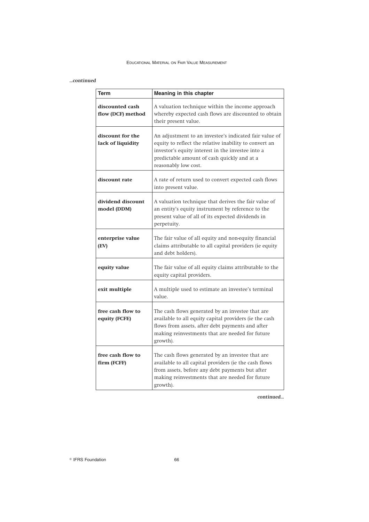# *...continued*

| <b>Term</b>                           | Meaning in this chapter                                                                                                                                                                                                                      |
|---------------------------------------|----------------------------------------------------------------------------------------------------------------------------------------------------------------------------------------------------------------------------------------------|
| discounted cash<br>flow (DCF) method  | A valuation technique within the income approach<br>whereby expected cash flows are discounted to obtain<br>their present value.                                                                                                             |
| discount for the<br>lack of liquidity | An adjustment to an investee's indicated fair value of<br>equity to reflect the relative inability to convert an<br>investor's equity interest in the investee into a<br>predictable amount of cash quickly and at a<br>reasonably low cost. |
| discount rate                         | A rate of return used to convert expected cash flows<br>into present value.                                                                                                                                                                  |
| dividend discount<br>model (DDM)      | A valuation technique that derives the fair value of<br>an entity's equity instrument by reference to the<br>present value of all of its expected dividends in<br>perpetuity.                                                                |
| enterprise value<br>(EV)              | The fair value of all equity and non-equity financial<br>claims attributable to all capital providers (ie equity<br>and debt holders).                                                                                                       |
| equity value                          | The fair value of all equity claims attributable to the<br>equity capital providers.                                                                                                                                                         |
| exit multiple                         | A multiple used to estimate an investee's terminal<br>value.                                                                                                                                                                                 |
| free cash flow to<br>equity (FCFE)    | The cash flows generated by an investee that are<br>available to all equity capital providers (ie the cash<br>flows from assets, after debt payments and after<br>making reinvestments that are needed for future<br>growth).                |
| free cash flow to<br>firm (FCFF)      | The cash flows generated by an investee that are<br>available to all capital providers (ie the cash flows<br>from assets, before any debt payments but after<br>making reinvestments that are needed for future<br>growth).                  |

*continued...*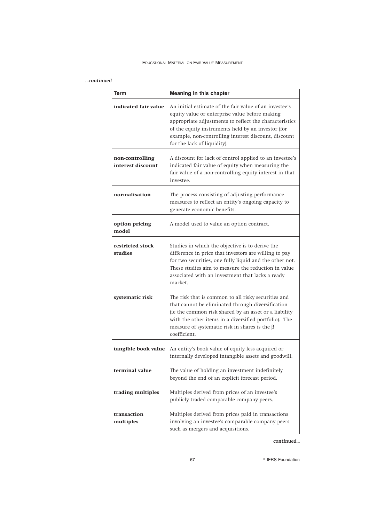# *...continued*

| Term                                 | Meaning in this chapter                                                                                                                                                                                                                                                                                         |
|--------------------------------------|-----------------------------------------------------------------------------------------------------------------------------------------------------------------------------------------------------------------------------------------------------------------------------------------------------------------|
| indicated fair value                 | An initial estimate of the fair value of an investee's<br>equity value or enterprise value before making<br>appropriate adjustments to reflect the characteristics<br>of the equity instruments held by an investor (for<br>example, non-controlling interest discount, discount<br>for the lack of liquidity). |
| non-controlling<br>interest discount | A discount for lack of control applied to an investee's<br>indicated fair value of equity when measuring the<br>fair value of a non-controlling equity interest in that<br>investee.                                                                                                                            |
| normalisation                        | The process consisting of adjusting performance<br>measures to reflect an entity's ongoing capacity to<br>generate economic benefits.                                                                                                                                                                           |
| option pricing<br>model              | A model used to value an option contract.                                                                                                                                                                                                                                                                       |
| restricted stock<br>studies          | Studies in which the objective is to derive the<br>difference in price that investors are willing to pay<br>for two securities, one fully liquid and the other not.<br>These studies aim to measure the reduction in value<br>associated with an investment that lacks a ready<br>market.                       |
| systematic risk                      | The risk that is common to all risky securities and<br>that cannot be eliminated through diversification<br>(ie the common risk shared by an asset or a liability<br>with the other items in a diversified portfolio). The<br>measure of systematic risk in shares is the $\beta$<br>coefficient.               |
| tangible book value                  | An entity's book value of equity less acquired or<br>internally developed intangible assets and goodwill.                                                                                                                                                                                                       |
| terminal value                       | The value of holding an investment indefinitely<br>beyond the end of an explicit forecast period.                                                                                                                                                                                                               |
| trading multiples                    | Multiples derived from prices of an investee's<br>publicly traded comparable company peers.                                                                                                                                                                                                                     |
| transaction<br>multiples             | Multiples derived from prices paid in transactions<br>involving an investee's comparable company peers<br>such as mergers and acquisitions.                                                                                                                                                                     |

# *continued...*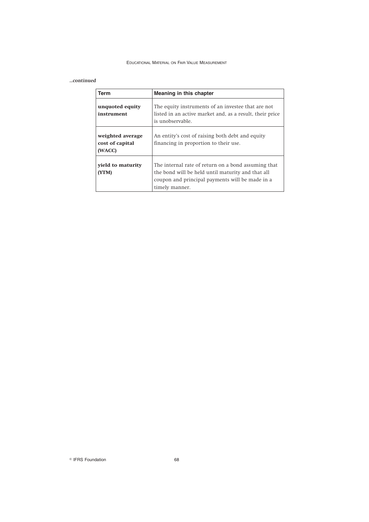# *...continued*

| Term                                          | Meaning in this chapter                                                                                                                                                       |
|-----------------------------------------------|-------------------------------------------------------------------------------------------------------------------------------------------------------------------------------|
| unquoted equity<br>instrument                 | The equity instruments of an investee that are not<br>listed in an active market and, as a result, their price<br>is unobservable.                                            |
| weighted average<br>cost of capital<br>(WACC) | An entity's cost of raising both debt and equity<br>financing in proportion to their use.                                                                                     |
| vield to maturity<br>(YTM)                    | The internal rate of return on a bond assuming that<br>the bond will be held until maturity and that all<br>coupon and principal payments will be made in a<br>timely manner. |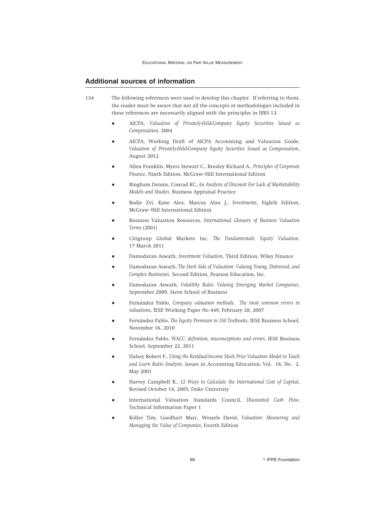# **Additional sources of information**

- 134 The following references were used to develop this chapter. If referring to them, the reader must be aware that not all the concepts or methodologies included in these references are necessarily aligned with the principles in IFRS 13.
	- AICPA, *Valuation of Privately-Held-Company Equity Securities Issued as Compensation,* 2004
	- AICPA, Working Draft of AICPA Accounting and Valuation Guide, *Valuation of Privately-Held-Company Equity Securities Issued as Compensation*, August 2012
	- Allen Franklin, Myers Stewart C., Brealey Richard A., *Principles of Corporate Finance*, Ninth Edition, McGraw–Hill International Edition
	- Bingham Dennis, Conrad KC, *An Analysis of Discount For Lack of Marketability Models and Studies*, Business Appraisal Practice
	- Bodie Zvi, Kane Alex, Marcus Alan J., *Investments*, Eighth Edition, McGraw–Hill International Edition
	- Business Valuation Resources, *International Glossary of Business Valuation Terms* (2001)
	- Citigroup Global Markets Inc, *The Fundamentals: Equity Valuation*, 17 March 2011
	- Damodaran Aswath, *Investment Valuation*, Third Edition, Wiley Finance
	- Damodaran Aswath, *The Dark Side of Valuation: Valuing Young, Distressed, and Complex Businesses*, Second Edition, Pearson Education, Inc.
	- Damodaran Aswath, *Volatility Rules: Valuing Emerging Market Companies*, September 2009, Stern School of Business
	- Fernández Pablo, *Company valuation methods*. The most common errors in *valuations*, IESE Working Paper No 449, February 28, 2007
	- Fernández Pablo, *The Equity Premium in 150 Textbooks*, IESE Business School, November 16, 2010
	- Fernández Pablo, *WACC: definition, misconceptions and errors*, IESE Business School, September 22, 2011
	- Halsey Robert F., *Using the Residual-Income Stock Price Valuation Model to Teach and Learn Ratio Analysis*, Issues in Accounting Education, Vol. 16, No. 2, May 2001
	- Harvey Campbell R., *12 Ways to Calculate the International Cost of Capital*, Revised October 14, 2005, Duke University
	- International Valuation Standards Council, *Discounted Cash Flow*, Technical Information Paper 1
	- Koller Tim, Goedhart Marc, Wessels David, *Valuation: Measuring and Managing the Value of Companies*, Fourth Edition